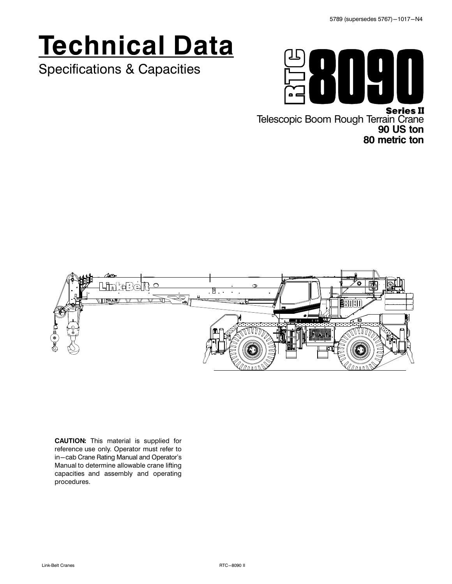# **Technical Data**

Specifications & Capacities



**90 US ton 80 metric ton**



**CAUTION:** This material is supplied for reference use only. Operator must refer to in-cab Crane Rating Manual and Operator's Manual to determine allowable crane lifting capacities and assembly and operating procedures.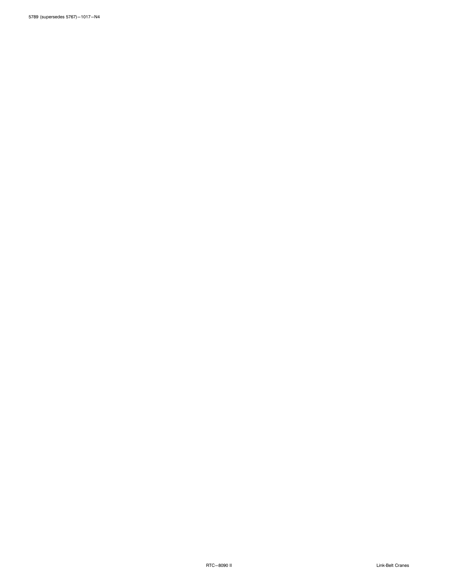5789 (supersedes 5767)-1017-N4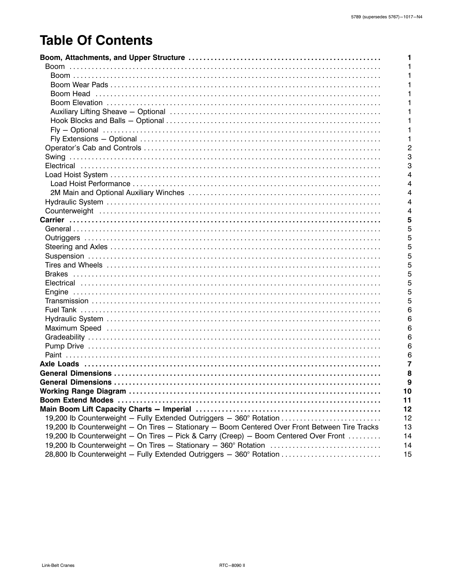# **Table Of Contents**

|                                                                                                | 1                   |
|------------------------------------------------------------------------------------------------|---------------------|
|                                                                                                |                     |
|                                                                                                | 1                   |
|                                                                                                | $\overline{2}$      |
|                                                                                                | 3                   |
|                                                                                                | 3                   |
|                                                                                                | 4                   |
|                                                                                                | 4                   |
|                                                                                                | 4                   |
|                                                                                                | 4                   |
|                                                                                                | 4                   |
|                                                                                                | 5                   |
|                                                                                                | 5                   |
|                                                                                                | 5                   |
|                                                                                                | 5                   |
|                                                                                                | 5                   |
|                                                                                                | 5                   |
|                                                                                                | 5                   |
|                                                                                                | 5                   |
|                                                                                                | 5                   |
|                                                                                                | 5                   |
|                                                                                                | 6                   |
|                                                                                                | 6                   |
|                                                                                                | 6                   |
|                                                                                                | 6                   |
|                                                                                                |                     |
|                                                                                                | 6                   |
|                                                                                                | 6<br>$\overline{7}$ |
|                                                                                                |                     |
|                                                                                                | 8                   |
|                                                                                                | 9                   |
|                                                                                                | 10                  |
|                                                                                                | 11                  |
|                                                                                                | 12                  |
| 19,200 lb Counterweight - Fully Extended Outriggers - 360° Rotation                            | 12                  |
| 19,200 lb Counterweight - On Tires - Stationary - Boom Centered Over Front Between Tire Tracks | 13                  |
| 19,200 lb Counterweight - On Tires - Pick & Carry (Creep) - Boom Centered Over Front           | 14                  |
|                                                                                                | 14                  |
| 28,800 lb Counterweight - Fully Extended Outriggers - 360° Rotation                            | 15                  |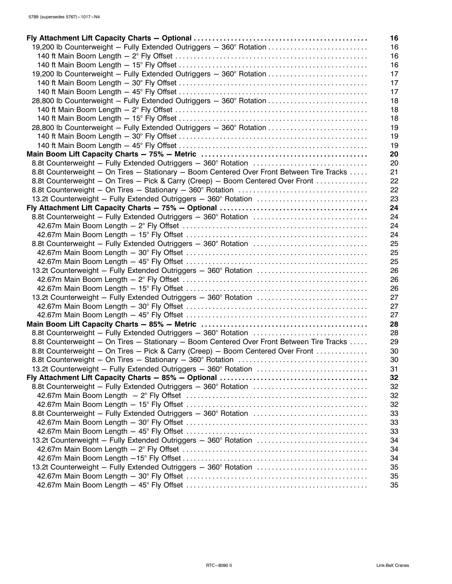|                                                                                           | 16 |
|-------------------------------------------------------------------------------------------|----|
| 19,200 lb Counterweight - Fully Extended Outriggers - 360° Rotation                       | 16 |
|                                                                                           | 16 |
|                                                                                           | 16 |
| 19,200 lb Counterweight - Fully Extended Outriggers - 360° Rotation                       | 17 |
|                                                                                           | 17 |
|                                                                                           | 17 |
| 28,800 lb Counterweight - Fully Extended Outriggers - 360° Rotation                       | 18 |
|                                                                                           | 18 |
|                                                                                           | 18 |
| 28,800 lb Counterweight - Fully Extended Outriggers - 360° Rotation                       | 19 |
|                                                                                           | 19 |
|                                                                                           | 19 |
|                                                                                           | 20 |
|                                                                                           | 20 |
| 8.8t Counterweight - On Tires - Stationary - Boom Centered Over Front Between Tire Tracks | 21 |
| 8.8t Counterweight - On Tires - Pick & Carry (Creep) - Boom Centered Over Front           | 22 |
|                                                                                           | 22 |
|                                                                                           | 23 |
|                                                                                           | 24 |
|                                                                                           | 24 |
|                                                                                           | 24 |
|                                                                                           | 24 |
|                                                                                           | 25 |
|                                                                                           | 25 |
|                                                                                           | 25 |
| 13.2t Counterweight - Fully Extended Outriggers - 360° Rotation                           | 26 |
|                                                                                           | 26 |
|                                                                                           | 26 |
| 13.2t Counterweight - Fully Extended Outriggers - 360° Rotation                           | 27 |
|                                                                                           | 27 |
|                                                                                           | 27 |
|                                                                                           | 28 |
|                                                                                           | 28 |
| 8.8t Counterweight - On Tires - Stationary - Boom Centered Over Front Between Tire Tracks | 29 |
| 8.8t Counterweight - On Tires - Pick & Carry (Creep) - Boom Centered Over Front           | 30 |
|                                                                                           | 30 |
|                                                                                           | 31 |
|                                                                                           | 32 |
|                                                                                           | 32 |
|                                                                                           | 32 |
|                                                                                           | 32 |
|                                                                                           | 33 |
|                                                                                           | 33 |
|                                                                                           | 33 |
|                                                                                           | 34 |
|                                                                                           | 34 |
|                                                                                           | 34 |
|                                                                                           | 35 |
|                                                                                           | 35 |
|                                                                                           | 35 |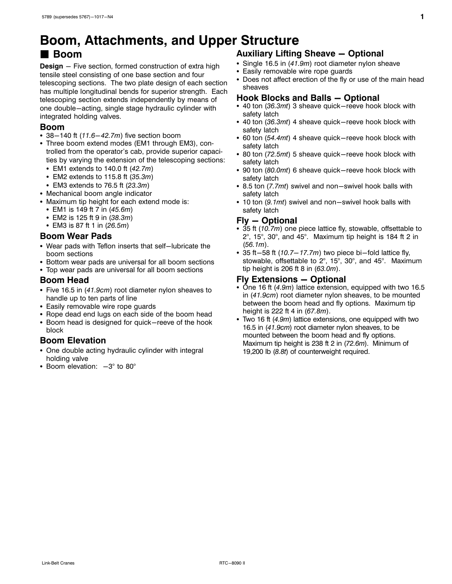# <span id="page-4-0"></span>**Boom, Attachments, and Upper Structure**

#### - **Boom**

**Design** - Five section, formed construction of extra high tensile steel consisting of one base section and four telescoping sections. The two plate design of each section has multiple longitudinal bends for superior strength. Each telescoping section extends independently by means of one double-acting, single stage hydraulic cylinder with integrated holding valves.

#### **Boom**

- 38–140 ft (*11.6–42.7m*) five section boom<br>• Three boom extend modes (FM1 through I
- Three boom extend modes (EM1 through EM3), controlled from the operator's cab, provide superior capacities by varying the extension of the telescoping sections:
	- EM1 extends to 140.0 ft (*42.7m*)
	- EM2 extends to 115.8 ft (*35.3m*)
	- EM3 extends to 76.5 ft (*23.3m*)
- Mechanical boom angle indicator
- Maximum tip height for each extend mode is:
	- EM1 is 149 ft 7 in (*45.6m*)
	- EM2 is 125 ft 9 in (*38.3m*)
	- EM3 is 87 ft 1 in (*26.5m*)

#### **Boom Wear Pads**

- Wear pads with Teflon inserts that self-lubricate the boom sections
- Bottom wear pads are universal for all boom sections
- Top wear pads are universal for all boom sections

#### **Boom Head**

- Five 16.5 in (*41.9cm*) root diameter nylon sheaves to handle up to ten parts of line
- Easily removable wire rope guards
- Rope dead end lugs on each side of the boom head
- Boom head is designed for quick-reeve of the hook block

#### **Boom Elevation**

- One double acting hydraulic cylinder with integral holding valve
- $\bullet$  Boom elevation:  $-3^{\circ}$  to 80°

#### **Auxiliary Lifting Sheave - Optional**

- Single 16.5 in (41.9*m*) root diameter nylon sheave<br>• Easily removable wire rone quards
- Easily removable wire rope guards
- Does not affect erection of the fly or use of the main head sheaves

#### **Hook Blocks and Balls - Optional**

- 40 ton (*36.3mt*) 3 sheave quick-reeve hook block with safety latch
- 40 ton (*36.3mt*) 4 sheave quick-reeve hook block with safety latch
- $\bullet$  60 ton (*54.4mt*) 4 sheave quick-reeve hook block with safety latch
- 80 ton (*72.5mt*) 5 sheave quick-reeve hook block with safety latch
- 90 ton (*80.0mt*) 6 sheave quick-reeve hook block with safety latch
- 8.5 ton (*7.7mt*) swivel and non-swivel hook balls with safety latch
- 10 ton (9.1mt) swivel and non-swivel hook balls with safety latch safety latch

#### **Fly - Optional**

- 35 ft (*10.7m*) one piece lattice fly, stowable, offsettable to<br>2° 15° 30° and 45° Maximum tip height is 184 ft 2 in 2°, 15°, 30°, and 45°. Maximum tip height is 184 ft 2 in
- (*56.1m*). 35 ft-58 ft (*10.7-17.7m*) two piece bi-fold lattice fly, stowable, offsettable to 2°, 15°, 30°, and 45°. Maximum tip height is 206 ft 8 in (*63.0m*).

#### **Fly Extensions - Optional**

- One 16 ft (*4.9m*) lattice extension, equipped with two 16.5<br>in (41.9cm) root diameter nylon sheaves to be mounted in (*41.9cm*) root diameter nylon sheaves, to be mounted between the boom head and fly options. Maximum tip height is 222 ft 4 in (*67.8m*).
- - Two 16 ft (*4.9m*) lattice extensions, one equipped with two 16.5 in (*41.9cm*) root diameter nylon sheaves, to be mounted between the boom head and fly options. Maximum tip height is 238 ft 2 in (*72.6m*). Minimum of 19,200 lb (*8.8t*) of counterweight required.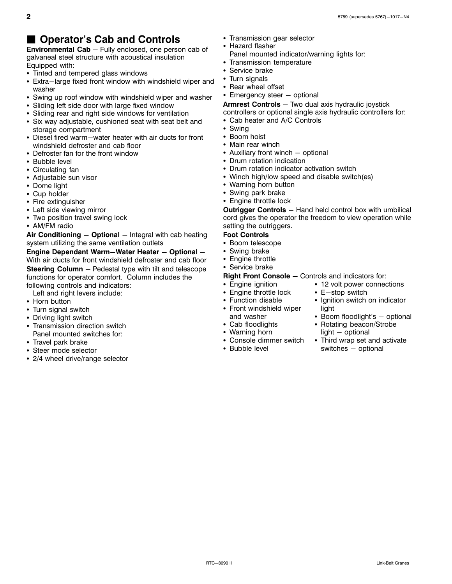#### <span id="page-5-0"></span>■ Operator's Cab and Controls

**Environmental Cab** - Fully enclosed, one person cab of galvaneal steel structure with acoustical insulation Equipped with:

- Tinted and tempered glass windows
- Extra-large fixed front window with windshield wiper and washer
- Swing up roof window with windshield wiper and washer
- Sliding left side door with large fixed window
- Sliding rear and right side windows for ventilation
- Six way adjustable, cushioned seat with seat belt and storage compartment
- Diesel fired warm-water heater with air ducts for front windshield defroster and cab floor
- Defroster fan for the front window
- Bubble level
- Circulating fan
- Adjustable sun visor
- Dome light
- Cup holder
- Fire extinguisher
- Left side viewing mirror
- Two position travel swing lock
- AM/FM radio

Air Conditioning - Optional - Integral with cab heating system utilizing the same ventilation outlets

**Engine Dependant Warm-Water Heater - Optional -**With air ducts for front windshield defroster and cab floor **Steering Column** - Pedestal type with tilt and telescope functions for operator comfort. Column includes the following controls and indicators:

Left and right levers include:

- Horn button
- Turn signal switch
- Driving light switch
- Transmission direction switch Panel mounted switches for:
- Travel park brake
- Steer mode selector
- 2/4 wheel drive/range selector
- Transmission gear selector
- Hazard flasher
- Panel mounted indicator/warning lights for:
- Transmission temperature
- Service brake
- Turn signals
- Rear wheel offset
- Emergency steer optional

**Armrest Controls** - Two dual axis hydraulic joystick controllers or optional single axis hydraulic controllers for:

- Cab heater and A/C Controls
- Swing
- Boom hoist
- Main rear winch
- Auxiliary front winch optional
- Drum rotation indication
- Drum rotation indicator activation switch
- Winch high/low speed and disable switch(es)
- Warning horn button
- Swing park brake
- Engine throttle lock

**Outrigger Controls** - Hand held control box with umbilical cord gives the operator the freedom to view operation while setting the outriggers.

#### **Foot Controls**

- Boom telescope
- Swing brake
- Engine throttle
- Service brake
- **Right Front Console Controls and indicators for:**
- Engine ignition
	- Engine throttle lock •
- Function disable •
- Front windshield wiper light and washer
- Cab floodlights •
- 
- Console dimmer switch •
- Bubble level
- 12 volt power connections
- E-stop switch
- Ignition switch on indicator
- Boom floodlight's optional
- Rotating beacon/Strobe • Warning horn light - optional
	- Third wrap set and activate  $switches - optional$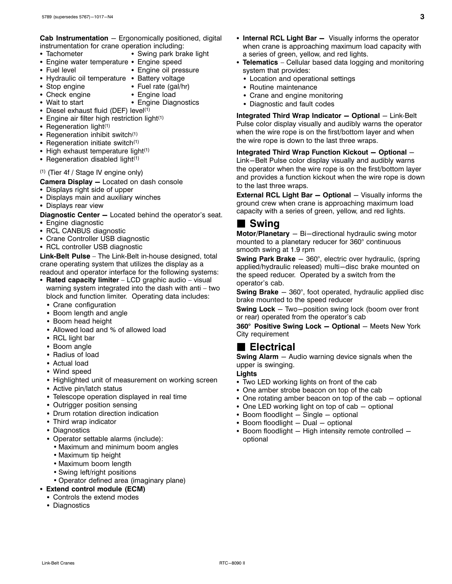<span id="page-6-0"></span>**Cab Instrumentation** - Ergonomically positioned, digital instrumentation for crane operation including:

- Tachometer **-**
- Swing park brake light • Engine water temperature • Engine speed
- Fuel level •
- Hydraulic oil temperature Battery voltage
- Stop engine •
	- -
- Wait to start •
- Diesel exhaust fluid (DEF) level<sup>(1)</sup>
- Engine air filter high restriction light<sup>(1)</sup>
- · Regeneration light(1)
- Regeneration inhibit switch<sup>(1)</sup>
- Regeneration initiate switch<sup>(1)</sup>
- High exhaust temperature light<sup>(1)</sup>
- Regeneration disabled light(1)
- (1) (Tier 4f / Stage IV engine only)

#### **Camera Display - Located on dash console**

- Displays right side of upper
- Displays main and auxiliary winches
- Displays rear view
- **Diagnostic Center** Located behind the operator's seat.
- Engine diagnostic
- RCL CANBUS diagnostic
- Crane Controller USB diagnostic
- RCL controller USB diagnostic

**Link-Belt Pulse** – The Link-Belt in-house designed, total crane operating system that utilizes the display as a readout and operator interface for the following systems:

- **Rated capacity limiter** LCD graphic audio visual warning system integrated into the dash with anti – two
	- block and function limiter. Operating data includes:
	- Crane configuration
	- Boom length and angle
	- Boom head height
	- Allowed load and % of allowed load
	- RCL light bar
	- Boom angle
	- Radius of load
	- Actual load
	- Wind speed
	- Highlighted unit of measurement on working screen
	- Active pin/latch status
	- Telescope operation displayed in real time
	- Outrigger position sensing
	- Drum rotation direction indication
	- Third wrap indicator
	- Diagnostics
	- Operator settable alarms (include):
	- Maximum and minimum boom angles
	- Maximum tip height
	- Maximum boom length
	- Swing left/right positions
	- Operator defined area (imaginary plane)
- **Extend control module (ECM)**
	- Controls the extend modes
	- Diagnostics
- Internal RCL Light Bar Visually informs the operator when crane is approaching maximum load capacity with a series of green, yellow, and red lights.
- - **Telematics** – Cellular based data logging and monitoring system that provides:
	- Location and operational settings
	- Routine maintenance
	- Crane and engine monitoring
	- Diagnostic and fault codes

**Integrated Third Wrap Indicator - Optional** - Link-Belt Pulse color display visually and audibly warns the operator when the wire rope is on the first/bottom layer and when the wire rope is down to the last three wraps.

#### **Integrated Third Wrap Function Kickout - Optional -**

Link-Belt Pulse color display visually and audibly warns the operator when the wire rope is on the first/bottom layer and provides a function kickout when the wire rope is down to the last three wraps.

**External RCL Light Bar - Optional** - Visually informs the ground crew when crane is approaching maximum load capacity with a series of green, yellow, and red lights.

#### $\blacksquare$  Swing

**Motor/Planetary** - Bi-directional hydraulic swing motor mounted to a planetary reducer for 360° continuous smooth swing at 1.9 rpm

**Swing Park Brake** - 360°, electric over hydraulic, (spring applied/hydraulic released) multi-disc brake mounted on the speed reducer. Operated by a switch from the operator's cab.

**Swing Brake** – 360°, foot operated, hydraulic applied disc brake mounted to the speed reducer

**Swing Lock** – Two-position swing lock (boom over front or rear) operated from the operator's cab

**360° Positive Swing Lock - Optional** - Meets New York City requirement

#### - **Electrical**

**Swing Alarm** - Audio warning device signals when the upper is swinging.

#### **Lights**

- Two LED working lights on front of the cab
- One amber strobe beacon on top of the cab
- One rotating amber beacon on top of the cab optional
- One LED working light on top of cab optional
- Boom floodlight Single optional
- Boom floodlight Dual optional
- Boom floodlight High intensity remote controlled optional
- Engine oil pressure
- Fuel rate (gal/hr)
- Check engine • Engine load
	- Engine Diagnostics
	-
	-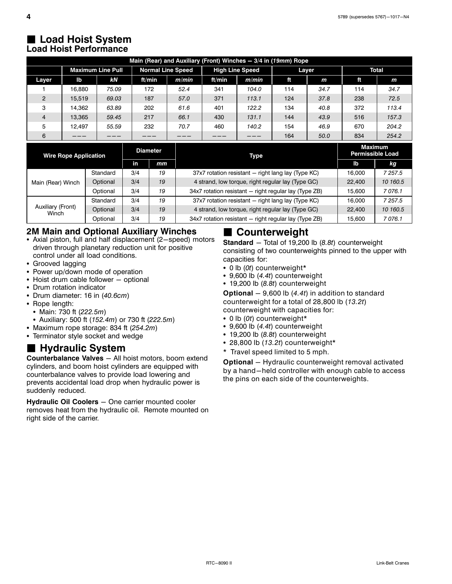#### <span id="page-7-0"></span>- **Load Hoist System Load Hoist Performance**

|                | Main (Rear) and Auxiliary (Front) Winches $-3/4$ in (19mm) Rope |           |        |                        |        |       |       |              |                |              |  |  |  |
|----------------|-----------------------------------------------------------------|-----------|--------|------------------------|--------|-------|-------|--------------|----------------|--------------|--|--|--|
|                | <b>Normal Line Speed</b><br><b>Maximum Line Pull</b>            |           |        | <b>High Line Speed</b> |        |       | Layer | <b>Total</b> |                |              |  |  |  |
| Laver          | lb                                                              | <b>kN</b> | ft/min | m/min                  | ft/min | m/min | ft    | $\mathsf{m}$ | ft             | $\mathbf{m}$ |  |  |  |
|                | 16.880                                                          | 75.09     | 172    | 52.4                   | 341    | 104.0 | 114   | 34.7         | 114            | 34.7         |  |  |  |
| $\overline{2}$ | 15.519                                                          | 69.03     | 187    | 57.0                   | 371    | 113.1 | 124   | 37.8         | 238            | 72.5         |  |  |  |
| 3              | 14.362                                                          | 63.89     | 202    | 61.6                   | 401    | 122.2 | 134   | 40.8         | 372            | 113.4        |  |  |  |
| $\overline{4}$ | 13.365                                                          | 59.45     | 217    | 66.1                   | 430    | 131.1 | 144   | 43.9         | 516            | 157.3        |  |  |  |
| 5              | 12.497                                                          | 55.59     | 232    | 70.7                   | 460    | 140.2 | 154   | 46.9         | 670            | 204.2        |  |  |  |
| 6              |                                                                 |           |        |                        |        |       | 164   | 50.0         | 834            | 254.2        |  |  |  |
| Diameter       |                                                                 |           |        |                        |        |       |       |              | <b>Maximum</b> |              |  |  |  |

| <b>Wire Rope Application</b> |          |     | <b>Diameter</b> | <b>Type</b>                                           | махинчи<br><b>Permissible Load</b> |           |  |
|------------------------------|----------|-----|-----------------|-------------------------------------------------------|------------------------------------|-----------|--|
|                              | in       | mm  |                 | Ib                                                    | kg                                 |           |  |
|                              | Standard | 3/4 | 19              | 37x7 rotation resistant - right lang lay (Type KC)    | 16.000                             | 7 257.5   |  |
| Main (Rear) Winch            | Optional | 3/4 | 19              | 4 strand, low torque, right regular lay (Type GC)     | 22,400                             | 10 160.5  |  |
|                              | Optional | 3/4 | 19              | 34x7 rotation resistant - right regular lay (Type ZB) | 15.600                             | 7076.1    |  |
|                              | Standard | 3/4 | 19              | 37x7 rotation resistant - right lang lay (Type KC)    | 16.000                             | 7 257.5   |  |
| Auxiliary (Front)<br>Winch   | Optional | 3/4 | 19              | 4 strand, low torque, right regular lay (Type GC)     | 22,400                             | 10 160.5  |  |
|                              | Optional | 3/4 | 19              | 34x7 rotation resistant - right regular lay (Type ZB) | 15,600                             | 7 0 7 6.1 |  |

#### **2M Main and Optional Auxiliary Winches**

- -Axial piston, full and half displacement (2-speed) motors driven through planetary reduction unit for positive control under all load conditions.
- Grooved lagging
- Power up/down mode of operation
- Hoist drum cable follower optional
- Drum rotation indicator
- Drum diameter: 16 in (*40.6cm*)
- Rope length:
- Main: 730 ft (*222.5m*)
- Auxiliary: 500 ft (*152.4m*) or 730 ft (*222.5m*)
- Maximum rope storage: 834 ft (*254.2m*)
- Terminator style socket and wedge

#### $\blacksquare$  **Hydraulic System**

**Counterbalance Valves** - All hoist motors, boom extend cylinders, and boom hoist cylinders are equipped with counterbalance valves to provide load lowering and prevents accidental load drop when hydraulic power is suddenly reduced.

Hydraulic Oil Coolers - One carrier mounted cooler removes heat from the hydraulic oil. Remote mounted on right side of the carrier.

#### $\blacksquare$  Counterweight

**Standard** - Total of 19,200 lb (8.8t) counterweight consisting of two counterweights pinned to the upper with capacities for:

- 0 lb (*0t*) counterweight\*
- **•** 9,600 lb (4.4t) counterweight<br>• 19.200 lb (8.8t) counterweight
- 19,200 lb (*8.8t*) counterweight

**Optional**  $-$  9,600 lb (4.4t) in addition to standard counterweight for a total of 28,800 lb (*13.2t*) counterweight with capacities for:

- 0 lb (*0t*) counterweight\*
- **•** 9,600 lb (4.4t) counterweight<br>• 19.200 lb (8.8t) counterweight
- 19,200 lb (*8.8t*) counterweight
- $\cdot$  28,800 lb  $(13.2t)$  counterweight\*<br>\* Travel apoed limited to 5 mph
- \* Travel speed limited to 5 mph.

**Optional** - Hydraulic counterweight removal activated by a hand-held controller with enough cable to access the pins on each side of the counterweights.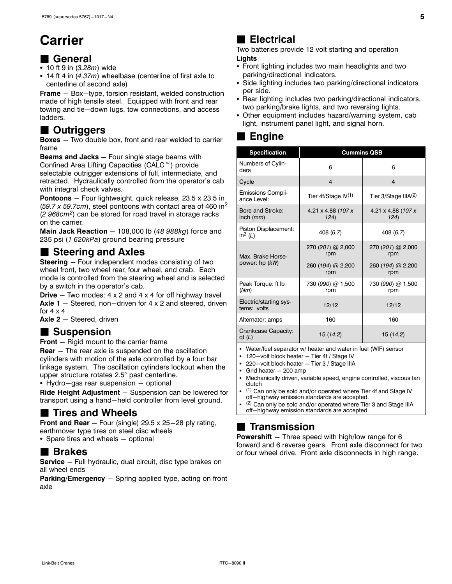# <span id="page-8-0"></span>**Carrier**

# General<br>• 10 ft 9 in (3.28)

10 ft 9 in (*3.28m*) wide

• 14 ft 4 in (4.37*m*) wheelbase (centerline of first axle to<br>centerline of second axle) centerline of second axle)

**Frame** - Box-type, torsion resistant, welded construction made of high tensile steel. Equipped with front and rear towing and tie-down lugs, tow connections, and access ladders.

#### $\blacksquare$  Outriggers

**Boxes** – Two double box, front and rear welded to carrier frame

**Beams and Jacks** - Four single stage beams with Confined Area Lifting Capacities (CALC<sup>™</sup>) provide selectable outrigger extensions of full, intermediate, and retracted. Hydraulically controlled from the operator's cab with integral check valves.

**Pontoons** – Four lightweight, quick release, 23.5 x 23.5 in (*59.7 x 59.7cm*), steel pontoons with contact area of 460 in2 (*2 968cm2*) can be stored for road travel in storage racks on the carrier.

**Main Jack Reaction** - 108,000 lb (48 988kg) force and 235 psi (*1 620kPa*) ground bearing pressure

#### **E** Steering and Axles

**Steering** – Four independent modes consisting of two wheel front, two wheel rear, four wheel, and crab. Each mode is controlled from the steering wheel and is selected by a switch in the operator's cab.

**Drive** – Two modes: 4 x 2 and 4 x 4 for off highway travel **Axle 1**  $-$  Steered, non $-$ driven for 4 x 2 and steered, driven for  $4 \times 4$ 

Axle 2 - Steered, driven

#### $\blacksquare$  Suspension

**Front** – Rigid mount to the carrier frame

**Rear** – The rear axle is suspended on the oscillation cylinders with motion of the axle controlled by a four bar linkage system. The oscillation cylinders lockout when the upper structure rotates 2.5° past centerline.

• Hydro-gas rear suspension - optional

**Ride Height Adjustment** - Suspension can be lowered for transport using a hand-held controller from level ground.

#### $\blacksquare$  **Tires and Wheels**

**Front and Rear** - Four (single) 29.5 x 25-28 ply rating, earthmover type tires on steel disc wheels • Spare tires and wheels - optional

#### - **Brakes**

**Service** - Full hydraulic, dual circuit, disc type brakes on all wheel ends

**Parking/Emergency** - Spring applied type, acting on front axle

#### - **Electrical**

Two batteries provide 12 volt starting and operation **Lights**

- Front lighting includes two main headlights and two parking/directional indicators.
- Side lighting includes two parking/directional indicators per side.
- Rear lighting includes two parking/directional indicators, two parking/brake lights, and two reversing lights.
- Other equipment includes hazard/warning system, cab light, instrument panel light, and signal horn.

#### **Engine**

| Specification                                 | <b>Cummins QSB</b>         |                            |  |  |
|-----------------------------------------------|----------------------------|----------------------------|--|--|
| Numbers of Cylin-<br>ders                     | 6                          | 6                          |  |  |
| Cycle                                         | 4                          | 4                          |  |  |
| <b>Emissions Compli-</b><br>ance Level:       | Tier 4f/Stage $IV(1)$      | Tier $3$ /Stage IIIA $(2)$ |  |  |
| Bore and Stroke:<br>inch $(mm)$               | 4.21 x 4.88 (107 x<br>124) | 4.21 x 4.88 (107 x<br>124) |  |  |
| Piston Displacement:<br>in <sup>3</sup> $(L)$ | 408 (6.7)                  | 408 (6.7)                  |  |  |
| Max. Brake Horse-                             | 270 (201) @ 2,000<br>rpm   | 270 (201) @ 2,000<br>rpm   |  |  |
| power: hp (kW)                                | 260 (194) @ 2,200<br>rpm   | 260 (194) @ 2,200<br>rpm   |  |  |
| Peak Torque: ft Ib<br>(Mm)                    | 730 (990) @ 1,500<br>rpm   | 730 (990) @ 1,500<br>rpm   |  |  |
| Electric/starting sys-<br>tems: volts         | 12/12                      | 12/12                      |  |  |
| Alternator: amps                              | 160                        | 160                        |  |  |
| Crankcase Capacity:<br>qt $(L)$               | 15 (14.2)                  | 15 (14.2)                  |  |  |

- Water/fuel separator w/ heater and water in fuel (WIF) sensor

- 120-volt block heater Tier 4f / Stage IV
- 220-volt block heater Tier 3 / Stage IIIA
- -Grid heater  $-200$  amp
- - Mechanically driven, variable speed, engine controlled, viscous fan clutch
- - (1) Can only be sold and/or operated where Tier 4f and Stage IV off-highway emission standards are accepted.
- - (2) Can only be sold and/or operated where Tier 3 and Stage IIIA off-highway emission standards are accepted.

#### - **Transmission**

**Powershift** - Three speed with high/low range for 6 forward and 6 reverse gears. Front axle disconnect for two or four wheel drive. Front axle disconnects in high range.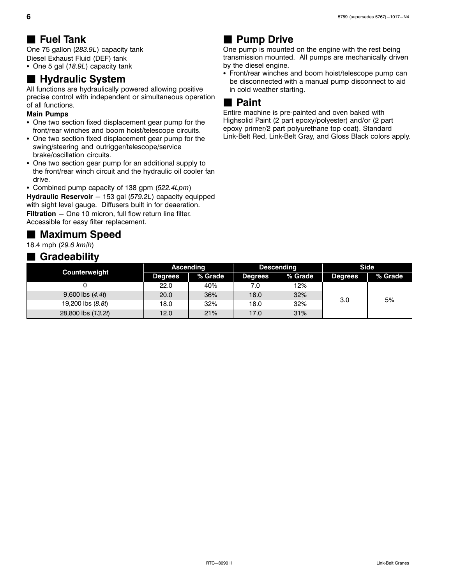# <span id="page-9-0"></span>- **Fuel Tank**

One 75 gallon (*283.9L*) capacity tank Diesel Exhaust Fluid (DEF) tank

- One 5 gal (*18.9L*) capacity tank

#### $\blacksquare$  **Hydraulic System**

All functions are hydraulically powered allowing positive precise control with independent or simultaneous operation of all functions.

#### **Main Pumps**

- One two section fixed displacement gear pump for the front/rear winches and boom hoist/telescope circuits.
- One two section fixed displacement gear pump for the swing/steering and outrigger/telescope/service brake/oscillation circuits.
- One two section gear pump for an additional supply to the front/rear winch circuit and the hydraulic oil cooler fan drive.
- Combined pump capacity of 138 gpm (*522.4Lpm*)

**Hydraulic Reservoir** - 153 gal (579.2L) capacity equipped with sight level gauge. Diffusers built in for deaeration. **Filtration** - One 10 micron, full flow return line filter. Accessible for easy filter replacement.

#### $\blacksquare$  **Maximum Speed**

18.4 mph (*29.6 km/h*)

#### - **Gradeability**

#### **Pump Drive**

One pump is mounted on the engine with the rest being transmission mounted. All pumps are mechanically driven by the diesel engine.

- Front/rear winches and boom hoist/telescope pump can be disconnected with a manual pump disconnect to aid in cold weather starting.

#### - **Paint**

Entire machine is pre-painted and oven baked with Highsolid Paint (2 part epoxy/polyester) and/or (2 part epoxy primer/2 part polyurethane top coat). Standard Link-Belt Red, Link-Belt Gray, and Gloss Black colors apply.

|                      |         | Ascending |                | Descending | <b>Side</b>    |         |  |
|----------------------|---------|-----------|----------------|------------|----------------|---------|--|
| Counterweight        | Degrees | % Grade   | <b>Degrees</b> | % Grade    | <b>Degrees</b> | % Grade |  |
|                      | 22.0    | 40%       | 7.0            | 12%        |                |         |  |
| $9,600$ lbs $(4.4t)$ | 20.0    | 36%       | 18.0           | 32%        |                |         |  |
| 19,200 lbs (8.8t)    | 18.0    | 32%       | 18.0           | 32%        | 3.0            | 5%      |  |
| 28,800 lbs (13.2t)   | 12.0    | 21%       | 17.0           | 31%        |                |         |  |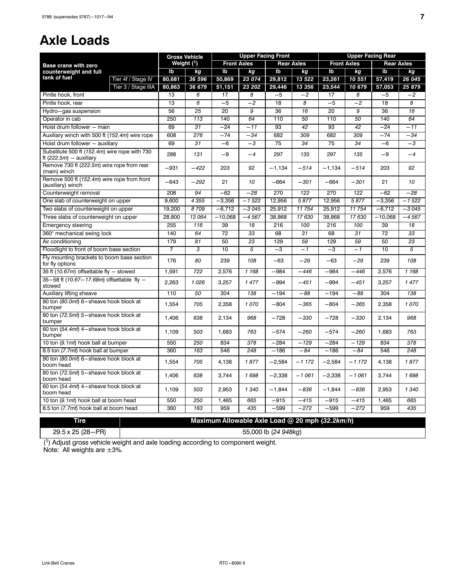### <span id="page-10-0"></span>**Axle Loads**

|                                                                            |                     |                 | <b>Gross Vehicle</b> | <b>Upper Facing Front</b>                       |                 |                      |                          | <b>Upper Facing Rear</b> |                    |                   |                 |
|----------------------------------------------------------------------------|---------------------|-----------------|----------------------|-------------------------------------------------|-----------------|----------------------|--------------------------|--------------------------|--------------------|-------------------|-----------------|
| <b>Base crane with zero</b>                                                |                     | Weight $(1)$    |                      | <b>Front Axles</b>                              |                 |                      | <b>Rear Axles</b>        |                          | <b>Front Axles</b> | <b>Rear Axles</b> |                 |
| counterweight and full                                                     |                     | lb              | kg                   | lb                                              | kq              | lb                   | kg                       | lb                       | kg                 | lb                | kg              |
| tank of fuel                                                               | Tier 4f / Stage IV  | 80,681          | 36 596               | 50,869                                          | 23 074          | 29,812               | 13 522                   | 23,261                   | 10 551             | 57,419            | 26 045          |
|                                                                            | Tier 3 / Stage IIIA | 80.863          | 36 679               | 51,151                                          | 23 202          | 29,446               | 13 356                   | 23,544                   | 10 679             | 57,053            | 25 879          |
| Pintle hook, front                                                         | 13                  | 6               | 17                   | 8                                               | $-5$            | $-2$                 | 17                       | 8                        | $-5$               | $-2$              |                 |
| Pintle hook, rear                                                          |                     | $\overline{13}$ | 6                    | $-5$                                            | $-2$            | $\overline{18}$      | $\overline{\mathcal{S}}$ | $-5$                     | $-2$               | $\overline{18}$   | 8               |
| Hydro-gas suspension                                                       |                     | 56              | 25                   | $\overline{20}$                                 | $\overline{g}$  | $\overline{36}$      | $\overline{16}$          | $\overline{20}$          | $\overline{g}$     | $\overline{36}$   | 16              |
| Operator in cab                                                            |                     | 250             | $\overline{113}$     | 140                                             | 64              | 110                  | 50                       | 110                      | 50                 | 140               | 64              |
| Hoist drum follower - main                                                 |                     | 69              | $\overline{31}$      | $-24$                                           | $-11$           | $\overline{93}$      | 42                       | $\overline{93}$          | $\overline{42}$    | $-24$             | $-11$           |
| Auxiliary winch with 500 ft (152.4m) wire rope                             |                     | 608             | 276                  | $-74$                                           | $-34$           | 682                  | 309                      | 682                      | 309                | $-74$             | $-34$           |
| Hoist drum follower - auxiliary                                            |                     | 69              | 31                   | $-6$                                            | $-3$            | 75                   | 34                       | 75                       | 34                 | $-6$              | $-3$            |
| Substitute 500 ft (152.4m) wire rope with 730<br>ft $(222.5m)$ - auxiliary |                     | 288             | 131                  | $-9$                                            | $-4$            | 297                  | 135                      | 297                      | 135                | $-9$              | $-4$            |
| Remove 730 ft (222.5m) wire rope from rear<br>(main) winch                 |                     | $-931$          | $-422$               | 203                                             | 92              | $-1,134$             | $-514$                   | $-1,134$                 | $-514$             | 203               | 92              |
| Remove 500 ft (152.4m) wire rope from front<br>(auxiliary) winch           |                     | $-643$          | $-292$               | 21                                              | 10              | $-664$               | $-301$                   | $-664$                   | $-301$             | 21                | 10              |
| Counterweight removal                                                      |                     | 208             | 94                   | $-62$                                           | $-28$           | 270                  | 122                      | 270                      | 122                | $-62$             | $-28$           |
| One slab of counterweight on upper                                         |                     | 9,600           | 4 3 5 5              | $-3,356$                                        | $-1522$         | 12,956               | 5877                     | 12,956                   | 5877               | $-3,356$          | $-1522$         |
| Two slabs of counterweight on upper                                        |                     | 19,200          | 8709                 | $-6,712$                                        | $-3045$         | 25.912               | 11754                    | 25,912                   | 11754              | $-6,712$          | $-3045$         |
| Three slabs of counterweight on upper                                      |                     | 28,800          | 13 064               | $-10,068$                                       | $-4567$         | 38,868               | 17630                    | 38,868                   | 17 630             | $-10,068$         | $-4567$         |
| <b>Emergency steering</b>                                                  |                     | 255             | $\overline{116}$     | 39                                              | $\overline{18}$ | $\overline{216}$     | 100                      | $\overline{216}$         | 100                | 39                | $\overline{18}$ |
| 360° mechanical swing lock                                                 |                     | 140             | 64                   | $\overline{72}$                                 | 33              | 68                   | $\overline{31}$          | 68                       | $\overline{31}$    | $\overline{72}$   | $\overline{33}$ |
| Air conditioning                                                           |                     | 179             | 81                   | 50                                              | 23              | 129                  | 59                       | 129                      | 59                 | 50                | 23              |
| Floodlight to front of boom base section                                   |                     | $\overline{7}$  | 3                    | $\overline{10}$                                 | 5               | $^{-3}$              | $-1$                     | $-3$                     | $-1$               | 10                | 5               |
| Fly mounting brackets to boom base section<br>for fly options              |                     | 176             | 80                   | 239                                             | 108             | $-63$                | -29                      | -63                      | $-29$              | 239               | 108             |
| 35 ft (10.67m) offsettable fly - stowed                                    |                     | 1,591           | $\overline{722}$     | 2,576                                           | 1 1 6 8         | $-984$               | $-446$                   | $-984$                   | $-446$             | 2,576             | 1 1 6 8         |
| 35-58 ft (10.67-17.68m) offsettable fly -<br>stowed                        |                     | 2,263           | 1026                 | 3,257                                           | 1477            | $-994$               | $-451$                   | $-994$                   | $-451$             | 3,257             | 1477            |
| Auxiliary lifting sheave                                                   |                     | 110             | 50                   | 304                                             | 138             | $-194$               | $-88$                    | $-194$                   | $-88$              | 304               | 138             |
| 90 ton (80.0mt) 6-sheave hook block at<br>bumper                           |                     | 1,554           | 705                  | 2,358                                           | 1070            | $-804$               | -365                     | $-804$                   | $-365$             | 2,358             | 1070            |
| 80 ton (72.5mt) 5-sheave hook block at<br>bumper                           |                     | 1,406           | 638                  | 2,134                                           | 968             | $-728$               | -330                     | $-728$                   | $-330$             | 2,134             | 968             |
| 60 ton (54.4mt) 4-sheave hook block at<br>bumper                           |                     | 1,109           | 503                  | 1,683                                           | 763             | $-574$               | $-260$                   | $-574$                   | $-260$             | 1,683             | 763             |
| 10 ton (9.1mt) hook ball at bumper                                         |                     | 550             | 250                  | 834                                             | 378             | $-284$               | $-129$                   | $-284$                   | $-129$             | 834               | 378             |
| 8.5 ton (7.7mt) hook ball at bumper                                        |                     | 360             | 163                  | 546                                             | 248             | $-186$               | $-84$                    | $-186$                   | $-84$              | 546               | 248             |
| 90 ton (80.0mt) 6-sheave hook block at<br>boom head                        |                     | 1,554           | 705                  | 4,138                                           | 1877            | $-2,584$             | $-1172$                  | $-2,584$                 | $-1172$            | 4,138             | 1877            |
| 80 ton (72.5mt) 5-sheave hook block at<br>boom head                        |                     | 1,406           | 638                  | 3,744                                           | 1698            | $-2,338$             | $-1061$                  | $-2,338$                 | $-1061$            | 3,744             | 1698            |
| 60 ton (54.4mt) 4-sheave hook block at<br>boom head                        |                     | 1,109           | 503                  | 2,953                                           | 1340            | $-1.844$             | -836                     | $-1.844$                 | $-836$             | 2,953             | 1340            |
| 10 ton (9.1mt) hook ball at boom head                                      |                     | 550             | 250                  | 1,465                                           | 665             | $-915$               | $-415$                   | $-915$                   | $-415$             | 1,465             | 665             |
| 8.5 ton (7.7mt) hook ball at boom head                                     |                     | 360             | 163                  | 959                                             | 435             | $-599$               | $-272$                   | $-599$                   | $-272$             | 959               | 435             |
| <b>Tire</b>                                                                |                     |                 |                      | Maximum Allowable Axle Load @ 20 mph (32.2km/h) |                 |                      |                          |                          |                    |                   |                 |
|                                                                            |                     |                 |                      |                                                 |                 |                      |                          |                          |                    |                   |                 |
| 29.5 x 25 (28-PR)                                                          |                     |                 |                      |                                                 |                 | 55,000 lb (24 948kg) |                          |                          |                    |                   |                 |

|  | . . | ℩⊏<br>╱ | ററ<br>. . | ۱) |
|--|-----|---------|-----------|----|

29.5 x 25 (28-PR) 55,000 lb (*24 948kg*) (1) Adjust gross vehicle weight and axle loading according to component weight.

Note: All weights are  $\pm 3\%$ .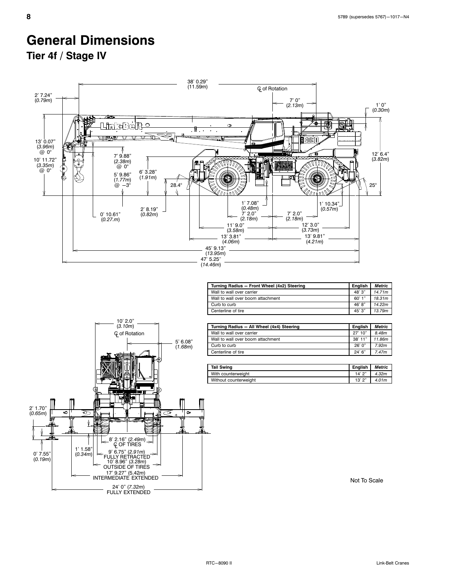# <span id="page-11-0"></span>**General Dimensions**

**Tier 4f / Stage IV**

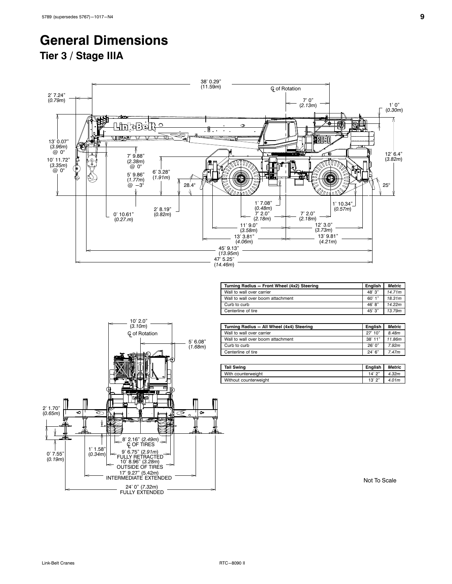#### <span id="page-12-0"></span>**General Dimensions Tier 3 / Stage IIIA**

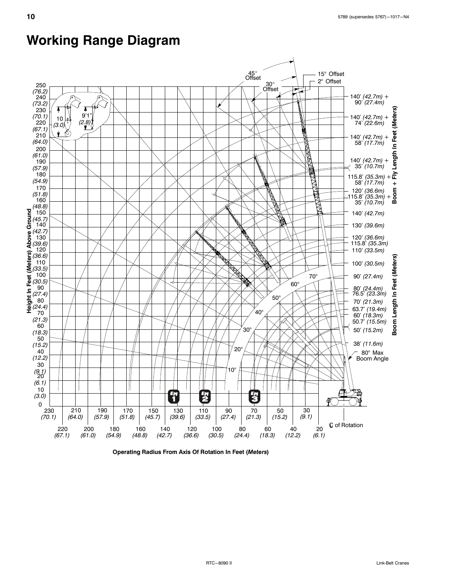## **Working Range Diagram**



**Operating Radius From Axis Of Rotation In Feet (***Meters***)**

<span id="page-13-0"></span>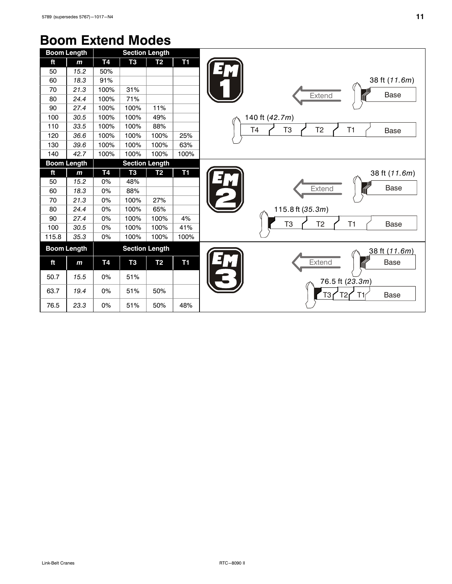# <span id="page-14-0"></span>**Boom Extend Modes**

|       | <b>Boom Length</b> |                |                | <b>Section Length</b> |           |                                           |
|-------|--------------------|----------------|----------------|-----------------------|-----------|-------------------------------------------|
| ft    | $\mathbf m$        | <b>T4</b>      | T <sub>3</sub> | T <sub>2</sub>        | <b>T1</b> |                                           |
| 50    | 15.2               | 50%            |                |                       |           |                                           |
| 60    | 18.3               | 91%            |                |                       |           | 38 ft (11.6m)                             |
| 70    | 21.3               | 100%           | 31%            |                       |           | <b>Base</b>                               |
| 80    | 24.4               | 100%           | 71%            |                       |           | Extend                                    |
| 90    | 27.4               | 100%           | 100%           | 11%                   |           |                                           |
| 100   | 30.5               | 100%           | 100%           | 49%                   |           | 140 ft (42.7m)                            |
| 110   | 33.5               | 100%           | 100%           | 88%                   |           | T3<br>T2<br>T1<br>T4<br><b>Base</b>       |
| 120   | 36.6               | 100%           | 100%           | 100%                  | 25%       |                                           |
| 130   | 39.6               | 100%           | 100%           | 100%                  | 63%       |                                           |
| 140   | 42.7               | 100%           | 100%           | 100%                  | 100%      |                                           |
|       | <b>Boom Length</b> |                |                | <b>Section Length</b> |           |                                           |
| ft    | $\mathbf m$        | <b>T4</b>      | T <sub>3</sub> | T <sub>2</sub>        | <b>T1</b> | 38 ft (11.6m)                             |
| 50    | 15.2               | 0%             | 48%            |                       |           | <b>Base</b>                               |
| 60    | 18.3               | 0%             | 88%            |                       |           | Extend                                    |
| 70    | 21.3               | 0%             | 100%           | 27%                   |           |                                           |
| 80    | 24.4               | 0%             | 100%           | 65%                   |           | 115.8 ft (35.3m)                          |
| 90    | 27.4               | 0%             | 100%           | 100%                  | 4%        | T3<br>T <sub>2</sub><br>T1<br><b>Base</b> |
| 100   | 30.5               | 0%             | 100%           | 100%                  | 41%       |                                           |
| 115.8 | 35.3               | 0%             | 100%           | 100%                  | 100%      |                                           |
|       | <b>Boom Length</b> |                |                | <b>Section Length</b> |           | 38 ft (11.6m)                             |
| ft    | $\mathbf{m}$       | T <sub>4</sub> | T <sub>3</sub> | T <sub>2</sub>        | <b>T1</b> | Extend<br><b>Base</b>                     |
| 50.7  | 15.5               | 0%             | 51%            |                       |           | 76.5 ft (23.3m)                           |
| 63.7  | 19.4               | 0%             | 51%            | 50%                   |           | TЗ<br><b>Base</b><br>Τ1<br>Т2             |
| 76.5  | 23.3               | 0%             | 51%            | 50%                   | 48%       |                                           |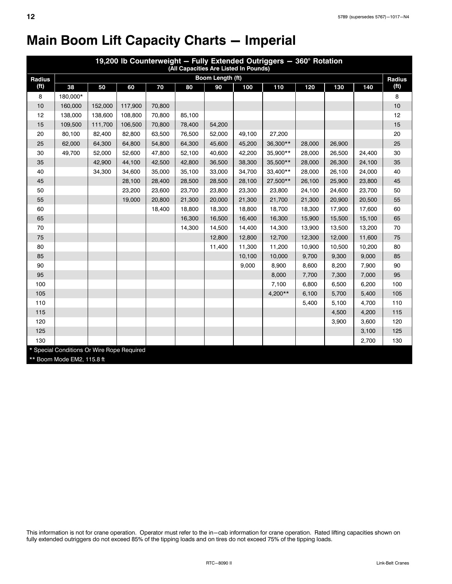<span id="page-15-0"></span>

|                   | 19,200 lb Counterweight - Fully Extended Outriggers - 360° Rotation<br>(All Capacities Are Listed In Pounds) |         |         |        |        |                  |        |          |        |        |        |                   |
|-------------------|--------------------------------------------------------------------------------------------------------------|---------|---------|--------|--------|------------------|--------|----------|--------|--------|--------|-------------------|
| <b>Radius</b>     |                                                                                                              |         |         |        |        | Boom Length (ft) |        |          |        |        |        | <b>Radius</b>     |
| (f <sup>t</sup> ) | 38                                                                                                           | 50      | 60      | 70     | 80     | 90               | 100    | 110      | 120    | 130    | 140    | (f <sup>t</sup> ) |
| 8                 | 180,000*                                                                                                     |         |         |        |        |                  |        |          |        |        |        | 8                 |
| 10                | 160,000                                                                                                      | 152,000 | 117,900 | 70,800 |        |                  |        |          |        |        |        | 10                |
| 12                | 138,000                                                                                                      | 138,600 | 108,800 | 70,800 | 85,100 |                  |        |          |        |        |        | 12                |
| 15                | 109,500                                                                                                      | 111,700 | 106,500 | 70,800 | 78,400 | 54,200           |        |          |        |        |        | 15                |
| 20                | 80,100                                                                                                       | 82,400  | 82,800  | 63,500 | 76,500 | 52,000           | 49,100 | 27,200   |        |        |        | 20                |
| 25                | 62,000                                                                                                       | 64,300  | 64,800  | 54,800 | 64,300 | 45,600           | 45,200 | 36,300** | 28,000 | 26,900 |        | 25                |
| 30                | 49,700                                                                                                       | 52,000  | 52,600  | 47,800 | 52,100 | 40,600           | 42,200 | 35,900** | 28,000 | 26,500 | 24,400 | 30                |
| 35                |                                                                                                              | 42,900  | 44,100  | 42,500 | 42,800 | 36,500           | 38,300 | 35,500** | 28,000 | 26,300 | 24,100 | 35                |
| 40                |                                                                                                              | 34,300  | 34,600  | 35,000 | 35,100 | 33,000           | 34,700 | 33,400** | 28,000 | 26,100 | 24,000 | 40                |
| 45                |                                                                                                              |         | 28,100  | 28,400 | 28,500 | 28,500           | 28,100 | 27,500** | 26,100 | 25,900 | 23,800 | 45                |
| 50                |                                                                                                              |         | 23,200  | 23,600 | 23,700 | 23,800           | 23,300 | 23,800   | 24,100 | 24,600 | 23,700 | 50                |
| 55                |                                                                                                              |         | 19,000  | 20,800 | 21,300 | 20,000           | 21,300 | 21,700   | 21,300 | 20,900 | 20,500 | 55                |
| 60                |                                                                                                              |         |         | 18,400 | 18,800 | 18,300           | 18,800 | 18,700   | 18,300 | 17,900 | 17,600 | 60                |
| 65                |                                                                                                              |         |         |        | 16,300 | 16,500           | 16,400 | 16,300   | 15,900 | 15,500 | 15,100 | 65                |
| 70                |                                                                                                              |         |         |        | 14,300 | 14,500           | 14,400 | 14,300   | 13,900 | 13,500 | 13,200 | 70                |
| 75                |                                                                                                              |         |         |        |        | 12,800           | 12,800 | 12,700   | 12,300 | 12,000 | 11,600 | 75                |
| 80                |                                                                                                              |         |         |        |        | 11,400           | 11,300 | 11,200   | 10,900 | 10,500 | 10,200 | 80                |
| 85                |                                                                                                              |         |         |        |        |                  | 10,100 | 10,000   | 9,700  | 9,300  | 9,000  | 85                |
| 90                |                                                                                                              |         |         |        |        |                  | 9,000  | 8,900    | 8,600  | 8,200  | 7,900  | 90                |
| 95                |                                                                                                              |         |         |        |        |                  |        | 8,000    | 7,700  | 7,300  | 7,000  | 95                |
| 100               |                                                                                                              |         |         |        |        |                  |        | 7,100    | 6,800  | 6,500  | 6,200  | 100               |
| 105               |                                                                                                              |         |         |        |        |                  |        | 4,200**  | 6,100  | 5,700  | 5,400  | 105               |
| 110               |                                                                                                              |         |         |        |        |                  |        |          | 5,400  | 5,100  | 4,700  | 110               |
| 115               |                                                                                                              |         |         |        |        |                  |        |          |        | 4,500  | 4,200  | 115               |
| 120               |                                                                                                              |         |         |        |        |                  |        |          |        | 3,900  | 3,600  | 120               |
| 125               |                                                                                                              |         |         |        |        |                  |        |          |        |        | 3,100  | 125               |
| 130               |                                                                                                              |         |         |        |        |                  |        |          |        |        | 2,700  | 130               |
|                   | * Special Conditions Or Wire Rope Required                                                                   |         |         |        |        |                  |        |          |        |        |        |                   |
|                   | ** Boom Mode EM2, 115.8 ft                                                                                   |         |         |        |        |                  |        |          |        |        |        |                   |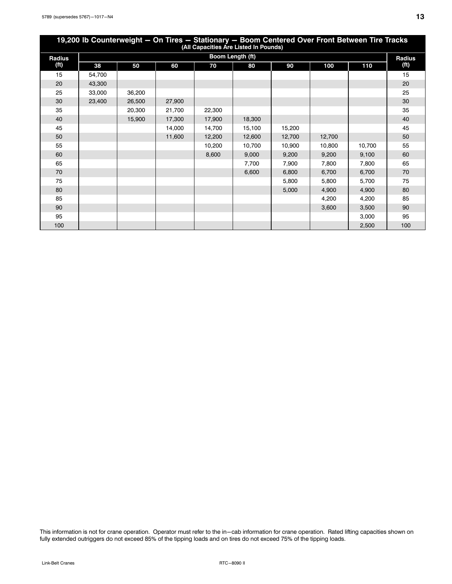<span id="page-16-0"></span>

| 19,200 lb Counterweight - On Tires - Stationary - Boom Centered Over Front Between Tire Tracks<br>(All Capacities Are Listed In Pounds) |        |        |        |        |                  |        |        |        |                   |  |
|-----------------------------------------------------------------------------------------------------------------------------------------|--------|--------|--------|--------|------------------|--------|--------|--------|-------------------|--|
| Radius                                                                                                                                  |        |        |        |        | Boom Length (ft) |        |        |        | <b>Radius</b>     |  |
| (f <sup>t</sup> )                                                                                                                       | 38     | 50     | 60     | 70     | 80               | 90     | 100    | 110    | (f <sup>t</sup> ) |  |
| 15                                                                                                                                      | 54,700 |        |        |        |                  |        |        |        | 15                |  |
| 20                                                                                                                                      | 43,300 |        |        |        |                  |        |        |        | 20                |  |
| 25                                                                                                                                      | 33,000 | 36,200 |        |        |                  |        |        |        | 25                |  |
| 30                                                                                                                                      | 23,400 | 26,500 | 27,900 |        |                  |        |        |        | 30                |  |
| 35                                                                                                                                      |        | 20,300 | 21,700 | 22,300 |                  |        |        |        | 35                |  |
| 40                                                                                                                                      |        | 15,900 | 17,300 | 17,900 | 18,300           |        |        |        | 40                |  |
| 45                                                                                                                                      |        |        | 14,000 | 14,700 | 15,100           | 15,200 |        |        | 45                |  |
| 50                                                                                                                                      |        |        | 11,600 | 12,200 | 12,600           | 12,700 | 12,700 |        | 50                |  |
| 55                                                                                                                                      |        |        |        | 10,200 | 10,700           | 10,900 | 10,800 | 10,700 | 55                |  |
| 60                                                                                                                                      |        |        |        | 8,600  | 9,000            | 9,200  | 9,200  | 9,100  | 60                |  |
| 65                                                                                                                                      |        |        |        |        | 7,700            | 7,900  | 7,800  | 7,800  | 65                |  |
| 70                                                                                                                                      |        |        |        |        | 6,600            | 6,800  | 6,700  | 6,700  | 70                |  |
| 75                                                                                                                                      |        |        |        |        |                  | 5,800  | 5,800  | 5,700  | 75                |  |
| 80                                                                                                                                      |        |        |        |        |                  | 5,000  | 4,900  | 4,900  | 80                |  |
| 85                                                                                                                                      |        |        |        |        |                  |        | 4,200  | 4,200  | 85                |  |
| 90                                                                                                                                      |        |        |        |        |                  |        | 3,600  | 3,500  | 90                |  |
| 95                                                                                                                                      |        |        |        |        |                  |        |        | 3,000  | 95                |  |
| 100                                                                                                                                     |        |        |        |        |                  |        |        | 2,500  | 100               |  |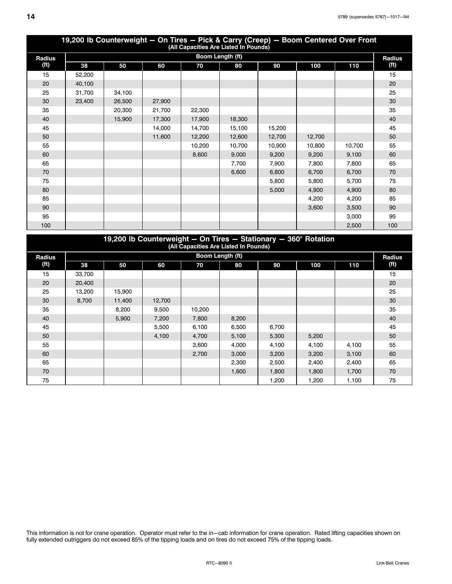<span id="page-17-0"></span>

| 19,200 lb Counterweight - On Tires - Pick & Carry (Creep) - Boom Centered Over Front<br>(All Capacities Are Listed In Pounds) |        |        |        |        |                  |        |        |        |                    |  |  |
|-------------------------------------------------------------------------------------------------------------------------------|--------|--------|--------|--------|------------------|--------|--------|--------|--------------------|--|--|
| <b>Radius</b>                                                                                                                 |        |        |        |        | Boom Length (ft) |        |        |        | <b>Radius</b>      |  |  |
| (f <sup>t</sup> )                                                                                                             | 38     | 50     | 60     | 70     | 80               | 90     | 100    | 110    | (f <sup>th</sup> ) |  |  |
| 15                                                                                                                            | 52,200 |        |        |        |                  |        |        |        | 15                 |  |  |
| 20                                                                                                                            | 40,100 |        |        |        |                  |        |        |        | 20                 |  |  |
| 25                                                                                                                            | 31,700 | 34,100 |        |        |                  |        |        |        | 25                 |  |  |
| 30                                                                                                                            | 23,400 | 26,500 | 27,900 |        |                  |        |        |        | 30                 |  |  |
| 35                                                                                                                            |        | 20,300 | 21,700 | 22,300 |                  |        |        |        | 35                 |  |  |
| 40                                                                                                                            |        | 15,900 | 17,300 | 17,900 | 18,300           |        |        |        | 40                 |  |  |
| 45                                                                                                                            |        |        | 14,000 | 14,700 | 15,100           | 15,200 |        |        | 45                 |  |  |
| 50                                                                                                                            |        |        | 11,600 | 12,200 | 12,600           | 12,700 | 12,700 |        | 50                 |  |  |
| 55                                                                                                                            |        |        |        | 10,200 | 10,700           | 10,900 | 10,800 | 10,700 | 55                 |  |  |
| 60                                                                                                                            |        |        |        | 8,600  | 9,000            | 9,200  | 9,200  | 9,100  | 60                 |  |  |
| 65                                                                                                                            |        |        |        |        | 7,700            | 7,900  | 7,800  | 7,800  | 65                 |  |  |
| 70                                                                                                                            |        |        |        |        | 6,600            | 6,800  | 6,700  | 6,700  | 70                 |  |  |
| 75                                                                                                                            |        |        |        |        |                  | 5,800  | 5,800  | 5,700  | 75                 |  |  |
| 80                                                                                                                            |        |        |        |        |                  | 5,000  | 4,900  | 4,900  | 80                 |  |  |
| 85                                                                                                                            |        |        |        |        |                  |        | 4,200  | 4,200  | 85                 |  |  |
| 90                                                                                                                            |        |        |        |        |                  |        | 3,600  | 3,500  | 90                 |  |  |
| 95                                                                                                                            |        |        |        |        |                  |        |        | 3,000  | 95                 |  |  |
| 100                                                                                                                           |        |        |        |        |                  |        |        | 2,500  | 100                |  |  |

| 19,200 lb Counterweight - On Tires - Stationary - 360° Rotation<br>(All Capacities Are Listed In Pounds) |        |        |        |        |                         |       |       |       |                   |  |  |
|----------------------------------------------------------------------------------------------------------|--------|--------|--------|--------|-------------------------|-------|-------|-------|-------------------|--|--|
| <b>Radius</b>                                                                                            |        |        |        |        | <b>Boom Length (ft)</b> |       |       |       | <b>Radius</b>     |  |  |
| (f <sup>t</sup> )                                                                                        | 38     | 50     | 60     | 70     | 80                      | 90    | 100   | 110   | (f <sup>t</sup> ) |  |  |
| 15                                                                                                       | 33,700 |        |        |        |                         |       |       |       | 15                |  |  |
| 20                                                                                                       | 20,400 |        |        |        |                         |       |       |       | 20                |  |  |
| 25                                                                                                       | 13.200 | 15,900 |        |        |                         |       |       |       | 25                |  |  |
| 30                                                                                                       | 8,700  | 11,400 | 12,700 |        |                         |       |       |       | 30                |  |  |
| 35                                                                                                       |        | 8,200  | 9,500  | 10,200 |                         |       |       |       | 35                |  |  |
| 40                                                                                                       |        | 5,900  | 7,200  | 7,800  | 8,200                   |       |       |       | 40                |  |  |
| 45                                                                                                       |        |        | 5,500  | 6,100  | 6,500                   | 6,700 |       |       | 45                |  |  |
| 50                                                                                                       |        |        | 4,100  | 4,700  | 5,100                   | 5,300 | 5,200 |       | 50                |  |  |
| 55                                                                                                       |        |        |        | 3,600  | 4,000                   | 4,100 | 4,100 | 4,100 | 55                |  |  |
| 60                                                                                                       |        |        |        | 2,700  | 3,000                   | 3,200 | 3,200 | 3,100 | 60                |  |  |
| 65                                                                                                       |        |        |        |        | 2,300                   | 2,500 | 2,400 | 2,400 | 65                |  |  |
| 70                                                                                                       |        |        |        |        | 1,600                   | 1,800 | 1,800 | 1,700 | 70                |  |  |
| 75                                                                                                       |        |        |        |        |                         | 1,200 | 1,200 | 1,100 | 75                |  |  |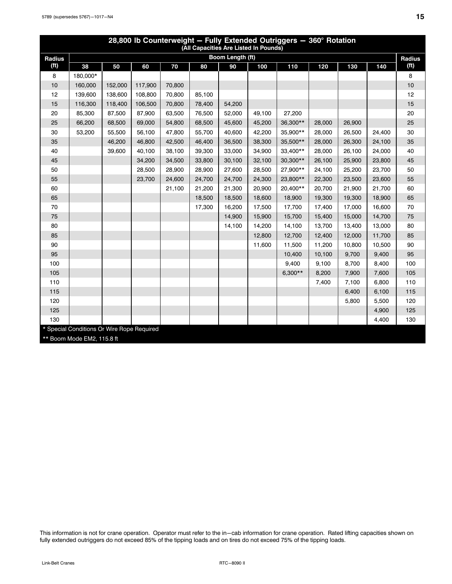<span id="page-18-0"></span>

| 28,800 lb Counterweight - Fully Extended Outriggers - 360° Rotation<br>(All Capacities Are Listed In Pounds) |                                            |         |         |        |        |                  |        |          |        |        |        |                   |
|--------------------------------------------------------------------------------------------------------------|--------------------------------------------|---------|---------|--------|--------|------------------|--------|----------|--------|--------|--------|-------------------|
| Radius                                                                                                       |                                            |         |         |        |        | Boom Length (ft) |        |          |        |        |        | <b>Radius</b>     |
| (f <sup>t</sup> )                                                                                            | 38                                         | 50      | 60      | 70     | 80     | 90               | 100    | 110      | 120    | 130    | 140    | (f <sup>t</sup> ) |
| 8                                                                                                            | 180,000*                                   |         |         |        |        |                  |        |          |        |        |        | 8                 |
| 10                                                                                                           | 160,000                                    | 152,000 | 117,900 | 70,800 |        |                  |        |          |        |        |        | 10                |
| 12                                                                                                           | 139,600                                    | 138,600 | 108,800 | 70,800 | 85,100 |                  |        |          |        |        |        | 12                |
| 15                                                                                                           | 116,300                                    | 118,400 | 106,500 | 70,800 | 78,400 | 54,200           |        |          |        |        |        | 15                |
| 20                                                                                                           | 85,300                                     | 87,500  | 87,900  | 63,500 | 76,500 | 52,000           | 49,100 | 27,200   |        |        |        | 20                |
| 25                                                                                                           | 66,200                                     | 68,500  | 69,000  | 54,800 | 68,500 | 45,600           | 45,200 | 36,300** | 28,000 | 26,900 |        | 25                |
| 30                                                                                                           | 53,200                                     | 55,500  | 56,100  | 47,800 | 55,700 | 40,600           | 42,200 | 35,900** | 28,000 | 26,500 | 24,400 | 30                |
| 35                                                                                                           |                                            | 46,200  | 46,800  | 42,500 | 46,400 | 36,500           | 38,300 | 35,500** | 28,000 | 26,300 | 24,100 | 35                |
| 40                                                                                                           |                                            | 39,600  | 40,100  | 38,100 | 39,300 | 33,000           | 34,900 | 33,400** | 28,000 | 26,100 | 24,000 | 40                |
| 45                                                                                                           |                                            |         | 34,200  | 34,500 | 33,800 | 30,100           | 32,100 | 30,300** | 26,100 | 25,900 | 23,800 | 45                |
| 50                                                                                                           |                                            |         | 28,500  | 28,900 | 28,900 | 27,600           | 28,500 | 27,900** | 24,100 | 25,200 | 23,700 | 50                |
| 55                                                                                                           |                                            |         | 23,700  | 24,600 | 24,700 | 24,700           | 24,300 | 23,800** | 22,300 | 23,500 | 23,600 | 55                |
| 60                                                                                                           |                                            |         |         | 21,100 | 21,200 | 21,300           | 20,900 | 20,400** | 20,700 | 21,900 | 21,700 | 60                |
| 65                                                                                                           |                                            |         |         |        | 18,500 | 18,500           | 18,600 | 18,900   | 19,300 | 19,300 | 18,900 | 65                |
| 70                                                                                                           |                                            |         |         |        | 17,300 | 16,200           | 17,500 | 17,700   | 17,400 | 17,000 | 16,600 | 70                |
| 75                                                                                                           |                                            |         |         |        |        | 14,900           | 15,900 | 15,700   | 15,400 | 15,000 | 14,700 | 75                |
| 80                                                                                                           |                                            |         |         |        |        | 14,100           | 14,200 | 14,100   | 13,700 | 13,400 | 13,000 | 80                |
| 85                                                                                                           |                                            |         |         |        |        |                  | 12,800 | 12,700   | 12,400 | 12,000 | 11,700 | 85                |
| 90                                                                                                           |                                            |         |         |        |        |                  | 11,600 | 11,500   | 11,200 | 10,800 | 10,500 | 90                |
| 95                                                                                                           |                                            |         |         |        |        |                  |        | 10,400   | 10,100 | 9,700  | 9,400  | 95                |
| 100                                                                                                          |                                            |         |         |        |        |                  |        | 9,400    | 9,100  | 8,700  | 8,400  | 100               |
| 105                                                                                                          |                                            |         |         |        |        |                  |        | 6,300**  | 8,200  | 7,900  | 7,600  | 105               |
| 110                                                                                                          |                                            |         |         |        |        |                  |        |          | 7,400  | 7,100  | 6,800  | 110               |
| 115                                                                                                          |                                            |         |         |        |        |                  |        |          |        | 6,400  | 6,100  | 115               |
| 120                                                                                                          |                                            |         |         |        |        |                  |        |          |        | 5,800  | 5,500  | 120               |
| 125                                                                                                          |                                            |         |         |        |        |                  |        |          |        |        | 4,900  | 125               |
| 130                                                                                                          | 4,400<br>130                               |         |         |        |        |                  |        |          |        |        |        |                   |
|                                                                                                              | * Special Conditions Or Wire Rope Required |         |         |        |        |                  |        |          |        |        |        |                   |
|                                                                                                              | $*$ Poom Mode FM2 115 8 ft                 |         |         |        |        |                  |        |          |        |        |        |                   |

\*\* Boom Mode EM2, 115.8 ft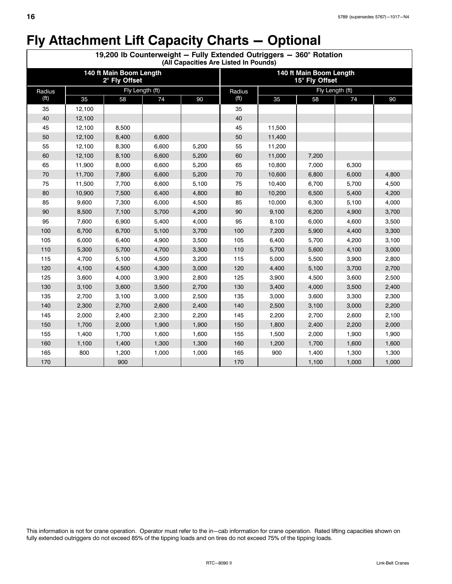# <span id="page-19-0"></span>**Fly Attachment Lift Capacity Charts - Optional**

| 19,200 lb Counterweight - Fully Extended Outriggers - 360° Rotation<br>(All Capacities Are Listed In Pounds) |        |                                          |       |       |                   |        |                                           |       |       |  |  |
|--------------------------------------------------------------------------------------------------------------|--------|------------------------------------------|-------|-------|-------------------|--------|-------------------------------------------|-------|-------|--|--|
|                                                                                                              |        | 140 ft Main Boom Length<br>2° Fly Offset |       |       |                   |        | 140 ft Main Boom Length<br>15° Fly Offset |       |       |  |  |
| Radius                                                                                                       |        | Fly Length (ft)                          |       |       | Radius            |        | Fly Length (ft)                           |       |       |  |  |
| (f <sup>t</sup> )                                                                                            | 35     | 58                                       | 74    | 90    | (f <sup>t</sup> ) | 35     | 58                                        | 74    | 90    |  |  |
| 35                                                                                                           | 12,100 |                                          |       |       | 35                |        |                                           |       |       |  |  |
| 40                                                                                                           | 12,100 |                                          |       |       | 40                |        |                                           |       |       |  |  |
| 45                                                                                                           | 12,100 | 8,500                                    |       |       | 45                | 11,500 |                                           |       |       |  |  |
| 50                                                                                                           | 12,100 | 8,400                                    | 6,600 |       | 50                | 11,400 |                                           |       |       |  |  |
| 55                                                                                                           | 12,100 | 8,300                                    | 6,600 | 5,200 | 55                | 11,200 |                                           |       |       |  |  |
| 60                                                                                                           | 12,100 | 8,100                                    | 6,600 | 5,200 | 60                | 11,000 | 7,200                                     |       |       |  |  |
| 65                                                                                                           | 11,900 | 8,000                                    | 6,600 | 5,200 | 65                | 10,800 | 7,000                                     | 6,300 |       |  |  |
| 70                                                                                                           | 11,700 | 7,800                                    | 6,600 | 5,200 | 70                | 10,600 | 6,800                                     | 6,000 | 4,800 |  |  |
| 75                                                                                                           | 11,500 | 7,700                                    | 6,600 | 5,100 | 75                | 10,400 | 6,700                                     | 5,700 | 4,500 |  |  |
| 80                                                                                                           | 10,900 | 7,500                                    | 6,400 | 4,800 | 80                | 10,200 | 6,500                                     | 5,400 | 4,200 |  |  |
| 85                                                                                                           | 9,600  | 7,300                                    | 6,000 | 4,500 | 85                | 10,000 | 6,300                                     | 5,100 | 4,000 |  |  |
| 90                                                                                                           | 8,500  | 7,100                                    | 5,700 | 4,200 | 90                | 9,100  | 6,200                                     | 4,900 | 3,700 |  |  |
| 95                                                                                                           | 7,600  | 6,900                                    | 5,400 | 4,000 | 95                | 8,100  | 6,000                                     | 4,600 | 3,500 |  |  |
| 100                                                                                                          | 6,700  | 6,700                                    | 5,100 | 3,700 | 100               | 7,200  | 5,900                                     | 4,400 | 3,300 |  |  |
| 105                                                                                                          | 6,000  | 6,400                                    | 4,900 | 3,500 | 105               | 6,400  | 5,700                                     | 4,200 | 3,100 |  |  |
| 110                                                                                                          | 5,300  | 5,700                                    | 4,700 | 3,300 | 110               | 5,700  | 5,600                                     | 4,100 | 3,000 |  |  |
| 115                                                                                                          | 4,700  | 5,100                                    | 4,500 | 3,200 | 115               | 5,000  | 5,500                                     | 3,900 | 2,800 |  |  |
| 120                                                                                                          | 4,100  | 4,500                                    | 4,300 | 3,000 | 120               | 4,400  | 5,100                                     | 3,700 | 2,700 |  |  |
| 125                                                                                                          | 3,600  | 4,000                                    | 3,900 | 2,800 | 125               | 3,900  | 4,500                                     | 3,600 | 2,500 |  |  |
| 130                                                                                                          | 3,100  | 3,600                                    | 3,500 | 2,700 | 130               | 3,400  | 4,000                                     | 3,500 | 2,400 |  |  |
| 135                                                                                                          | 2,700  | 3,100                                    | 3,000 | 2,500 | 135               | 3,000  | 3,600                                     | 3,300 | 2,300 |  |  |
| 140                                                                                                          | 2,300  | 2,700                                    | 2,600 | 2,400 | 140               | 2,500  | 3,100                                     | 3,000 | 2,200 |  |  |
| 145                                                                                                          | 2,000  | 2,400                                    | 2,300 | 2,200 | 145               | 2,200  | 2,700                                     | 2,600 | 2,100 |  |  |
| 150                                                                                                          | 1,700  | 2,000                                    | 1,900 | 1,900 | 150               | 1,800  | 2,400                                     | 2,200 | 2,000 |  |  |
| 155                                                                                                          | 1,400  | 1,700                                    | 1,600 | 1,600 | 155               | 1,500  | 2,000                                     | 1,900 | 1,900 |  |  |
| 160                                                                                                          | 1,100  | 1,400                                    | 1,300 | 1,300 | 160               | 1,200  | 1,700                                     | 1,600 | 1,600 |  |  |
| 165                                                                                                          | 800    | 1,200                                    | 1,000 | 1,000 | 165               | 900    | 1,400                                     | 1,300 | 1,300 |  |  |
| 170                                                                                                          |        | 900                                      |       |       | 170               |        | 1,100                                     | 1,000 | 1,000 |  |  |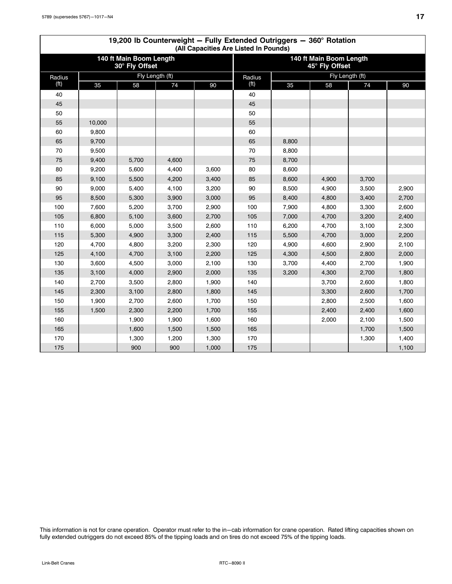<span id="page-20-0"></span>

| 19,200 lb Counterweight - Fully Extended Outriggers - 360° Rotation<br>(All Capacities Are Listed In Pounds) |        |                                           |       |       |                   |       |                                           |                 |       |  |  |  |
|--------------------------------------------------------------------------------------------------------------|--------|-------------------------------------------|-------|-------|-------------------|-------|-------------------------------------------|-----------------|-------|--|--|--|
|                                                                                                              |        | 140 ft Main Boom Length<br>30° Fly Offset |       |       |                   |       | 140 ft Main Boom Length<br>45° Fly Offset |                 |       |  |  |  |
| Radius                                                                                                       |        | Fly Length (ft)                           |       |       | Radius            |       |                                           | Fly Length (ft) |       |  |  |  |
| (f <sup>t</sup> )                                                                                            | 35     | 58                                        | 74    | 90    | (f <sup>t</sup> ) | 35    | 58                                        | 74              | 90    |  |  |  |
| 40                                                                                                           |        |                                           |       |       | 40                |       |                                           |                 |       |  |  |  |
| 45                                                                                                           |        |                                           |       |       | 45                |       |                                           |                 |       |  |  |  |
| 50                                                                                                           |        |                                           |       |       | 50                |       |                                           |                 |       |  |  |  |
| 55                                                                                                           | 10,000 |                                           |       |       | 55                |       |                                           |                 |       |  |  |  |
| 60                                                                                                           | 9,800  |                                           |       |       | 60                |       |                                           |                 |       |  |  |  |
| 65                                                                                                           | 9,700  |                                           |       |       | 65                | 8,800 |                                           |                 |       |  |  |  |
| 70                                                                                                           | 9,500  |                                           |       |       | 70                | 8,800 |                                           |                 |       |  |  |  |
| 75                                                                                                           | 9,400  | 5,700                                     | 4,600 |       | 75                | 8,700 |                                           |                 |       |  |  |  |
| 80                                                                                                           | 9,200  | 5,600                                     | 4,400 | 3,600 | 80                | 8,600 |                                           |                 |       |  |  |  |
| 85                                                                                                           | 9,100  | 5,500                                     | 4,200 | 3,400 | 85                | 8,600 | 4,900                                     | 3,700           |       |  |  |  |
| 90                                                                                                           | 9,000  | 5,400                                     | 4,100 | 3,200 | 90                | 8,500 | 4,900                                     | 3,500           | 2,900 |  |  |  |
| 95                                                                                                           | 8,500  | 5,300                                     | 3,900 | 3,000 | 95                | 8,400 | 4,800                                     | 3,400           | 2,700 |  |  |  |
| 100                                                                                                          | 7,600  | 5,200                                     | 3,700 | 2,900 | 100               | 7,900 | 4,800                                     | 3,300           | 2,600 |  |  |  |
| 105                                                                                                          | 6,800  | 5,100                                     | 3,600 | 2,700 | 105               | 7,000 | 4,700                                     | 3,200           | 2,400 |  |  |  |
| 110                                                                                                          | 6,000  | 5,000                                     | 3,500 | 2,600 | 110               | 6,200 | 4,700                                     | 3,100           | 2,300 |  |  |  |
| 115                                                                                                          | 5,300  | 4,900                                     | 3,300 | 2,400 | 115               | 5,500 | 4,700                                     | 3,000           | 2,200 |  |  |  |
| 120                                                                                                          | 4,700  | 4,800                                     | 3,200 | 2,300 | 120               | 4,900 | 4,600                                     | 2,900           | 2,100 |  |  |  |
| 125                                                                                                          | 4,100  | 4,700                                     | 3,100 | 2,200 | 125               | 4,300 | 4,500                                     | 2,800           | 2,000 |  |  |  |
| 130                                                                                                          | 3,600  | 4,500                                     | 3,000 | 2,100 | 130               | 3,700 | 4,400                                     | 2,700           | 1,900 |  |  |  |
| 135                                                                                                          | 3,100  | 4,000                                     | 2,900 | 2,000 | 135               | 3,200 | 4,300                                     | 2,700           | 1,800 |  |  |  |
| 140                                                                                                          | 2,700  | 3,500                                     | 2,800 | 1,900 | 140               |       | 3,700                                     | 2,600           | 1,800 |  |  |  |
| 145                                                                                                          | 2,300  | 3,100                                     | 2,800 | 1,800 | 145               |       | 3,300                                     | 2,600           | 1,700 |  |  |  |
| 150                                                                                                          | 1,900  | 2,700                                     | 2,600 | 1,700 | 150               |       | 2,800                                     | 2,500           | 1,600 |  |  |  |
| 155                                                                                                          | 1,500  | 2,300                                     | 2,200 | 1,700 | 155               |       | 2,400                                     | 2,400           | 1,600 |  |  |  |
| 160                                                                                                          |        | 1,900                                     | 1,900 | 1,600 | 160               |       | 2,000                                     | 2,100           | 1,500 |  |  |  |
| 165                                                                                                          |        | 1,600                                     | 1,500 | 1,500 | 165               |       |                                           | 1,700           | 1,500 |  |  |  |
| 170                                                                                                          |        | 1,300                                     | 1,200 | 1,300 | 170               |       |                                           | 1,300           | 1,400 |  |  |  |
| 175                                                                                                          |        | 900                                       | 900   | 1,000 | 175               |       |                                           |                 | 1,100 |  |  |  |

## 19,200 lb Counterweight - Fully Extended Outriggers - 360° Rotation

This information is not for crane operation. Operator must refer to the in-cab information for crane operation. Rated lifting capacities shown on fully extended outriggers do not exceed 85% of the tipping loads and on tires do not exceed 75% of the tipping loads.

Ē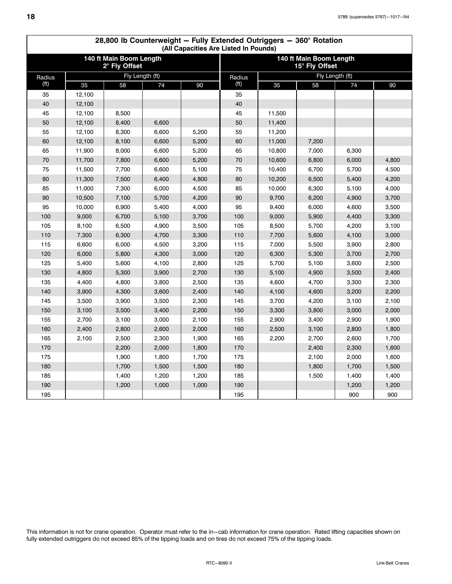|                   | 28,800 lb Counterweight - Fully Extended Outriggers - 360° Rotation<br>(All Capacities Are Listed In Pounds) |                                          |       |       |                   |        |                                           |       |       |  |  |  |
|-------------------|--------------------------------------------------------------------------------------------------------------|------------------------------------------|-------|-------|-------------------|--------|-------------------------------------------|-------|-------|--|--|--|
|                   |                                                                                                              | 140 ft Main Boom Length<br>2° Fly Offset |       |       |                   |        | 140 ft Main Boom Length<br>15° Fly Offset |       |       |  |  |  |
| Radius            |                                                                                                              | Fly Length (ft)                          |       |       | Radius            |        | Fly Length (ft)                           |       |       |  |  |  |
| (f <sup>t</sup> ) | 35                                                                                                           | 58                                       | 74    | 90    | (f <sup>t</sup> ) | 35     | 58                                        | 74    | 90    |  |  |  |
| 35                | 12,100                                                                                                       |                                          |       |       | 35                |        |                                           |       |       |  |  |  |
| 40                | 12,100                                                                                                       |                                          |       |       | 40                |        |                                           |       |       |  |  |  |
| 45                | 12,100                                                                                                       | 8,500                                    |       |       | 45                | 11,500 |                                           |       |       |  |  |  |
| 50                | 12,100                                                                                                       | 8,400                                    | 6,600 |       | 50                | 11,400 |                                           |       |       |  |  |  |
| 55                | 12,100                                                                                                       | 8,300                                    | 6,600 | 5,200 | 55                | 11,200 |                                           |       |       |  |  |  |
| 60                | 12,100                                                                                                       | 8,100                                    | 6,600 | 5,200 | 60                | 11,000 | 7,200                                     |       |       |  |  |  |
| 65                | 11,900                                                                                                       | 8,000                                    | 6,600 | 5,200 | 65                | 10,800 | 7,000                                     | 6,300 |       |  |  |  |
| 70                | 11,700                                                                                                       | 7,800                                    | 6,600 | 5,200 | 70                | 10,600 | 6,800                                     | 6,000 | 4,800 |  |  |  |
| 75                | 11,500                                                                                                       | 7,700                                    | 6,600 | 5,100 | 75                | 10,400 | 6,700                                     | 5,700 | 4,500 |  |  |  |
| 80                | 11,300                                                                                                       | 7,500                                    | 6,400 | 4,800 | 80                | 10,200 | 6,500                                     | 5,400 | 4,200 |  |  |  |
| 85                | 11,000                                                                                                       | 7,300                                    | 6,000 | 4,500 | 85                | 10,000 | 6,300                                     | 5,100 | 4,000 |  |  |  |
| 90                | 10,500                                                                                                       | 7,100                                    | 5,700 | 4,200 | 90                | 9,700  | 6,200                                     | 4,900 | 3,700 |  |  |  |
| 95                | 10,000                                                                                                       | 6,900                                    | 5,400 | 4,000 | 95                | 9,400  | 6,000                                     | 4,600 | 3,500 |  |  |  |
| 100               | 9,000                                                                                                        | 6,700                                    | 5,100 | 3,700 | 100               | 9,000  | 5,900                                     | 4,400 | 3,300 |  |  |  |
| 105               | 8,100                                                                                                        | 6,500                                    | 4,900 | 3,500 | 105               | 8,500  | 5,700                                     | 4,200 | 3,100 |  |  |  |
| 110               | 7,300                                                                                                        | 6,300                                    | 4,700 | 3,300 | 110               | 7,700  | 5,600                                     | 4,100 | 3,000 |  |  |  |
| 115               | 6,600                                                                                                        | 6,000                                    | 4,500 | 3,200 | 115               | 7,000  | 5,500                                     | 3,900 | 2,800 |  |  |  |
| 120               | 6,000                                                                                                        | 5,800                                    | 4,300 | 3,000 | 120               | 6,300  | 5,300                                     | 3,700 | 2,700 |  |  |  |
| 125               | 5,400                                                                                                        | 5,600                                    | 4,100 | 2,800 | 125               | 5,700  | 5,100                                     | 3,600 | 2,500 |  |  |  |
| 130               | 4,800                                                                                                        | 5,300                                    | 3,900 | 2,700 | 130               | 5,100  | 4,900                                     | 3,500 | 2,400 |  |  |  |
| 135               | 4,400                                                                                                        | 4,800                                    | 3,800 | 2,500 | 135               | 4,600  | 4,700                                     | 3,300 | 2,300 |  |  |  |
| 140               | 3,900                                                                                                        | 4,300                                    | 3,600 | 2,400 | 140               | 4,100  | 4,600                                     | 3,200 | 2,200 |  |  |  |
| 145               | 3,500                                                                                                        | 3,900                                    | 3,500 | 2,300 | 145               | 3,700  | 4,200                                     | 3,100 | 2,100 |  |  |  |
| 150               | 3,100                                                                                                        | 3,500                                    | 3,400 | 2,200 | 150               | 3,300  | 3,800                                     | 3,000 | 2,000 |  |  |  |
| 155               | 2,700                                                                                                        | 3,100                                    | 3,000 | 2,100 | 155               | 2,900  | 3,400                                     | 2,900 | 1,900 |  |  |  |
| 160               | 2,400                                                                                                        | 2,800                                    | 2,600 | 2,000 | 160               | 2,500  | 3,100                                     | 2,800 | 1,800 |  |  |  |
| 165               | 2,100                                                                                                        | 2,500                                    | 2,300 | 1,900 | 165               | 2,200  | 2,700                                     | 2,600 | 1,700 |  |  |  |
| 170               |                                                                                                              | 2,200                                    | 2,000 | 1,800 | 170               |        | 2,400                                     | 2,300 | 1,600 |  |  |  |
| 175               |                                                                                                              | 1,900                                    | 1,800 | 1,700 | 175               |        | 2,100                                     | 2,000 | 1,600 |  |  |  |
| 180               |                                                                                                              | 1,700                                    | 1,500 | 1,500 | 180               |        | 1,800                                     | 1,700 | 1,500 |  |  |  |
| 185               |                                                                                                              | 1,400                                    | 1,200 | 1,200 | 185               |        | 1,500                                     | 1,400 | 1,400 |  |  |  |
| 190               |                                                                                                              | 1,200                                    | 1,000 | 1,000 | 190               |        |                                           | 1,200 | 1,200 |  |  |  |
| 195               |                                                                                                              |                                          |       |       | 195               |        |                                           | 900   | 900   |  |  |  |

# **28,800 lb Counterweight - Fully Extended Outriggers - 360° Rotation**

This information is not for crane operation. Operator must refer to the in-cab information for crane operation. Rated lifting capacities shown on fully extended outriggers do not exceed 85% of the tipping loads and on tires do not exceed 75% of the tipping loads.

<span id="page-21-0"></span> $\Gamma$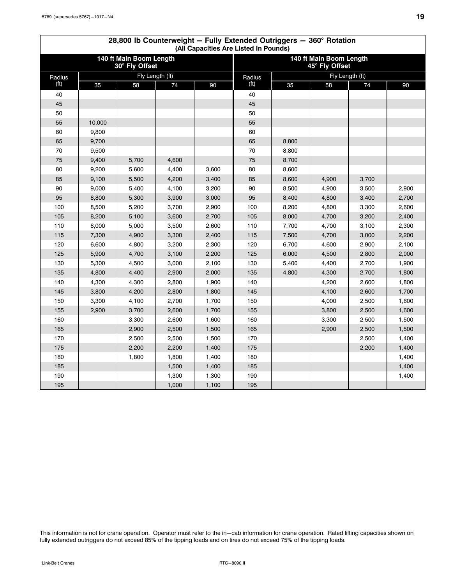Г

<span id="page-22-0"></span>

|                   | 28,800 lb Counterweight - Fully Extended Outriggers - 360° Rotation<br>(All Capacities Are Listed In Pounds) |                                           |       |       |                   |       |                                           |                 |       |  |  |  |
|-------------------|--------------------------------------------------------------------------------------------------------------|-------------------------------------------|-------|-------|-------------------|-------|-------------------------------------------|-----------------|-------|--|--|--|
|                   |                                                                                                              | 140 ft Main Boom Length<br>30° Fly Offset |       |       |                   |       | 140 ft Main Boom Length<br>45° Fly Offset |                 |       |  |  |  |
| Radius            |                                                                                                              | Fly Length (ft)                           |       |       | Radius            |       |                                           | Fly Length (ft) |       |  |  |  |
| (f <sup>t</sup> ) | 35                                                                                                           | 58                                        | 74    | 90    | (f <sup>t</sup> ) | 35    | 58                                        | 74              | 90    |  |  |  |
| 40                |                                                                                                              |                                           |       |       | 40                |       |                                           |                 |       |  |  |  |
| 45                |                                                                                                              |                                           |       |       | 45                |       |                                           |                 |       |  |  |  |
| 50                |                                                                                                              |                                           |       |       | 50                |       |                                           |                 |       |  |  |  |
| 55                | 10,000                                                                                                       |                                           |       |       | 55                |       |                                           |                 |       |  |  |  |
| 60                | 9,800                                                                                                        |                                           |       |       | 60                |       |                                           |                 |       |  |  |  |
| 65                | 9,700                                                                                                        |                                           |       |       | 65                | 8,800 |                                           |                 |       |  |  |  |
| 70                | 9,500                                                                                                        |                                           |       |       | 70                | 8,800 |                                           |                 |       |  |  |  |
| 75                | 9,400                                                                                                        | 5,700                                     | 4,600 |       | 75                | 8,700 |                                           |                 |       |  |  |  |
| 80                | 9,200                                                                                                        | 5,600                                     | 4,400 | 3,600 | 80                | 8,600 |                                           |                 |       |  |  |  |
| 85                | 9,100                                                                                                        | 5,500                                     | 4,200 | 3,400 | 85                | 8,600 | 4,900                                     | 3,700           |       |  |  |  |
| 90                | 9,000                                                                                                        | 5,400                                     | 4,100 | 3,200 | 90                | 8,500 | 4,900                                     | 3,500           | 2,900 |  |  |  |
| 95                | 8,800                                                                                                        | 5,300                                     | 3,900 | 3,000 | 95                | 8,400 | 4,800                                     | 3,400           | 2,700 |  |  |  |
| 100               | 8,500                                                                                                        | 5,200                                     | 3,700 | 2,900 | 100               | 8,200 | 4,800                                     | 3,300           | 2,600 |  |  |  |
| 105               | 8,200                                                                                                        | 5,100                                     | 3,600 | 2,700 | 105               | 8,000 | 4,700                                     | 3,200           | 2,400 |  |  |  |
| 110               | 8,000                                                                                                        | 5,000                                     | 3,500 | 2,600 | 110               | 7,700 | 4,700                                     | 3,100           | 2,300 |  |  |  |
| 115               | 7,300                                                                                                        | 4,900                                     | 3,300 | 2,400 | 115               | 7,500 | 4,700                                     | 3,000           | 2,200 |  |  |  |
| 120               | 6,600                                                                                                        | 4,800                                     | 3,200 | 2,300 | 120               | 6,700 | 4,600                                     | 2,900           | 2,100 |  |  |  |
| 125               | 5,900                                                                                                        | 4,700                                     | 3,100 | 2,200 | 125               | 6,000 | 4,500                                     | 2,800           | 2,000 |  |  |  |
| 130               | 5,300                                                                                                        | 4,500                                     | 3,000 | 2,100 | 130               | 5,400 | 4,400                                     | 2,700           | 1,900 |  |  |  |
| 135               | 4,800                                                                                                        | 4,400                                     | 2,900 | 2,000 | 135               | 4,800 | 4,300                                     | 2,700           | 1,800 |  |  |  |
| 140               | 4,300                                                                                                        | 4,300                                     | 2,800 | 1,900 | 140               |       | 4,200                                     | 2,600           | 1,800 |  |  |  |
| 145               | 3,800                                                                                                        | 4,200                                     | 2,800 | 1,800 | 145               |       | 4,100                                     | 2,600           | 1,700 |  |  |  |
| 150               | 3,300                                                                                                        | 4,100                                     | 2,700 | 1,700 | 150               |       | 4,000                                     | 2,500           | 1,600 |  |  |  |
| 155               | 2,900                                                                                                        | 3,700                                     | 2,600 | 1,700 | 155               |       | 3,800                                     | 2,500           | 1,600 |  |  |  |
| 160               |                                                                                                              | 3,300                                     | 2,600 | 1,600 | 160               |       | 3,300                                     | 2,500           | 1,500 |  |  |  |
| 165               |                                                                                                              | 2,900                                     | 2,500 | 1,500 | 165               |       | 2,900                                     | 2,500           | 1,500 |  |  |  |
| 170               |                                                                                                              | 2,500                                     | 2,500 | 1,500 | 170               |       |                                           | 2,500           | 1,400 |  |  |  |
| 175               |                                                                                                              | 2,200                                     | 2,200 | 1,400 | 175               |       |                                           | 2,200           | 1,400 |  |  |  |
| 180               |                                                                                                              | 1,800                                     | 1,800 | 1,400 | 180               |       |                                           |                 | 1,400 |  |  |  |
| 185               |                                                                                                              |                                           | 1,500 | 1,400 | 185               |       |                                           |                 | 1,400 |  |  |  |
| 190               |                                                                                                              |                                           | 1,300 | 1,300 | 190               |       |                                           |                 | 1,400 |  |  |  |
| 195               |                                                                                                              |                                           | 1,000 | 1,100 | 195               |       |                                           |                 |       |  |  |  |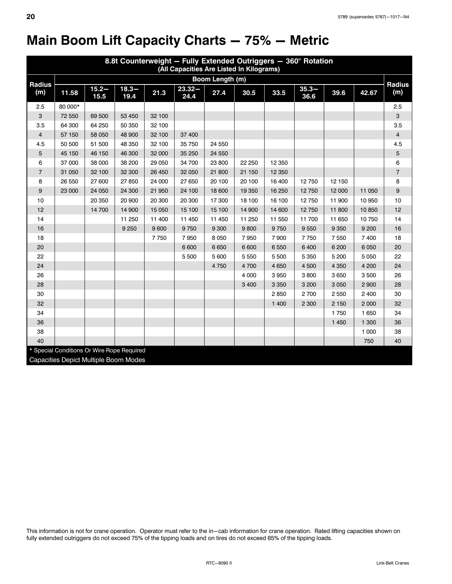<span id="page-23-0"></span>

|  |  |  | <b>Main Boom Lift Capacity Charts - 75% - Metric</b> |  |  |
|--|--|--|------------------------------------------------------|--|--|
|--|--|--|------------------------------------------------------|--|--|

|                      | 8.8t Counterweight - Fully Extended Outriggers - 360° Rotation<br>(All Capacities Are Listed In Kilograms) |                                              |                  |        |                   |                 |         |         |                  |         |         |                |
|----------------------|------------------------------------------------------------------------------------------------------------|----------------------------------------------|------------------|--------|-------------------|-----------------|---------|---------|------------------|---------|---------|----------------|
|                      |                                                                                                            |                                              |                  |        |                   | Boom Length (m) |         |         |                  |         |         |                |
| <b>Radius</b><br>(m) | 11.58                                                                                                      | $15.2 -$<br>15.5                             | $18.3 -$<br>19.4 | 21.3   | $23.32 -$<br>24.4 | 27.4            | 30.5    | 33.5    | $35.3 -$<br>36.6 | 39.6    | 42.67   | Radius<br>(m)  |
| 2.5                  | 80 000*                                                                                                    |                                              |                  |        |                   |                 |         |         |                  |         |         | 2.5            |
| 3                    | 72 550                                                                                                     | 69 500                                       | 53 450           | 32 100 |                   |                 |         |         |                  |         |         | 3              |
| 3.5                  | 64 300                                                                                                     | 64 250                                       | 50 350           | 32 100 |                   |                 |         |         |                  |         |         | 3.5            |
| $\overline{4}$       | 57 150                                                                                                     | 58 050                                       | 48 900           | 32 100 | 37 400            |                 |         |         |                  |         |         | $\overline{4}$ |
| 4.5                  | 50 500                                                                                                     | 51 500                                       | 48 350           | 32 100 | 35 750            | 24 550          |         |         |                  |         |         | 4.5            |
| 5                    | 45 150                                                                                                     | 46 150                                       | 46 300           | 32 000 | 35 250            | 24 550          |         |         |                  |         |         | 5              |
| 6                    | 37 000                                                                                                     | 38 000                                       | 38 200           | 29 050 | 34 700            | 23 800          | 22 250  | 12 350  |                  |         |         | 6              |
| $\overline{7}$       | 31 050                                                                                                     | 32 100                                       | 32 300           | 26 450 | 32 050            | 21 800          | 21 150  | 12 3 50 |                  |         |         | $\overline{7}$ |
| 8                    | 26 550                                                                                                     | 27 600                                       | 27 850           | 24 000 | 27 650            | 20 100          | 20 100  | 16 400  | 12750            | 12 150  |         | 8              |
| 9                    | 23 000                                                                                                     | 24 050                                       | 24 300           | 21 950 | 24 100            | 18 600          | 19 350  | 16 250  | 12750            | 12 000  | 11 050  | 9              |
| 10                   |                                                                                                            | 20 350                                       | 20 900           | 20 300 | 20 300            | 17 300          | 18 100  | 16 100  | 12750            | 11 900  | 10 950  | $10$           |
| 12                   |                                                                                                            | 14 700                                       | 14 900           | 15 050 | 15 100            | 15 100          | 14 900  | 14 600  | 12750            | 11 800  | 10850   | 12             |
| 14                   |                                                                                                            |                                              | 11 250           | 11 400 | 11 450            | 11 450          | 11 250  | 11 550  | 11700            | 11 650  | 10750   | 14             |
| 16                   |                                                                                                            |                                              | 9 2 5 0          | 9600   | 9750              | 9 3 0 0         | 9800    | 9750    | 9 5 5 0          | 9 3 5 0 | 9 200   | 16             |
| 18                   |                                                                                                            |                                              |                  | 7750   | 7950              | 8 0 5 0         | 7950    | 7900    | 7750             | 7550    | 7 400   | 18             |
| 20                   |                                                                                                            |                                              |                  |        | 6 600             | 6650            | 6 600   | 6550    | 6 4 0 0          | 6 200   | 6 0 5 0 | 20             |
| 22                   |                                                                                                            |                                              |                  |        | 5 500             | 5 600           | 5 5 5 0 | 5 500   | 5 3 5 0          | 5 200   | 5 0 5 0 | 22             |
| 24                   |                                                                                                            |                                              |                  |        |                   | 4750            | 4700    | 4 6 5 0 | 4 500            | 4 3 5 0 | 4 200   | 24             |
| 26                   |                                                                                                            |                                              |                  |        |                   |                 | 4 0 0 0 | 3950    | 3800             | 3650    | 3500    | 26             |
| 28                   |                                                                                                            |                                              |                  |        |                   |                 | 3 4 0 0 | 3 3 5 0 | 3 200            | 3 0 5 0 | 2 9 0 0 | 28             |
| 30                   |                                                                                                            |                                              |                  |        |                   |                 |         | 2850    | 2700             | 2550    | 2 4 0 0 | 30             |
| 32                   |                                                                                                            |                                              |                  |        |                   |                 |         | 1 400   | 2 3 0 0          | 2 1 5 0 | 2 0 0 0 | 32             |
| 34                   |                                                                                                            |                                              |                  |        |                   |                 |         |         |                  | 1750    | 1 650   | 34             |
| 36                   |                                                                                                            |                                              |                  |        |                   |                 |         |         |                  | 1 4 5 0 | 1 300   | 36             |
| 38                   |                                                                                                            |                                              |                  |        |                   |                 |         |         |                  |         | 1 0 0 0 | 38             |
| 40                   |                                                                                                            |                                              |                  |        |                   |                 |         |         |                  |         | 750     | 40             |
|                      |                                                                                                            | * Special Conditions Or Wire Rope Required   |                  |        |                   |                 |         |         |                  |         |         |                |
|                      |                                                                                                            | <b>Capacities Depict Multiple Boom Modes</b> |                  |        |                   |                 |         |         |                  |         |         |                |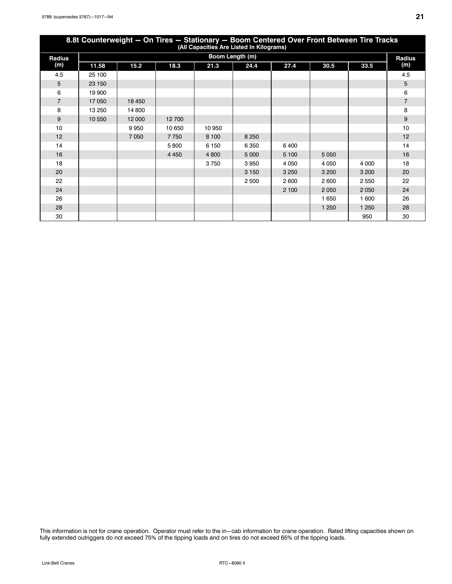<span id="page-24-0"></span>

| 8.8t Counterweight - On Tires - Stationary - Boom Centered Over Front Between Tire Tracks<br>(All Capacities Are Listed In Kilograms) |        |         |         |         |                 |         |         |         |                |  |  |
|---------------------------------------------------------------------------------------------------------------------------------------|--------|---------|---------|---------|-----------------|---------|---------|---------|----------------|--|--|
| <b>Radius</b>                                                                                                                         |        |         |         |         | Boom Length (m) |         |         |         | <b>Radius</b>  |  |  |
| (m)                                                                                                                                   | 11.58  | 15.2    | 18.3    | 21.3    | 24.4            | 27.4    | 30.5    | 33.5    | (m)            |  |  |
| 4.5                                                                                                                                   | 25 100 |         |         |         |                 |         |         |         | 4.5            |  |  |
| 5                                                                                                                                     | 23 150 |         |         |         |                 |         |         |         | 5              |  |  |
| 6                                                                                                                                     | 19 900 |         |         |         |                 |         |         |         | 6              |  |  |
| $\overline{7}$                                                                                                                        | 17050  | 18 450  |         |         |                 |         |         |         | $\overline{7}$ |  |  |
| 8                                                                                                                                     | 13 250 | 14 800  |         |         |                 |         |         |         | 8              |  |  |
| 9                                                                                                                                     | 10 550 | 12 000  | 12700   |         |                 |         |         |         | 9              |  |  |
| 10                                                                                                                                    |        | 9950    | 10 650  | 10 950  |                 |         |         |         | 10             |  |  |
| 12                                                                                                                                    |        | 7 0 5 0 | 7750    | 8 100   | 8 2 5 0         |         |         |         | 12             |  |  |
| 14                                                                                                                                    |        |         | 5800    | 6 1 5 0 | 6 3 5 0         | 6400    |         |         | 14             |  |  |
| 16                                                                                                                                    |        |         | 4 4 5 0 | 4 800   | 5 0 0 0         | 5 100   | 5 0 5 0 |         | 16             |  |  |
| 18                                                                                                                                    |        |         |         | 3750    | 3950            | 4 0 5 0 | 4 0 5 0 | 4 0 0 0 | 18             |  |  |
| 20                                                                                                                                    |        |         |         |         | 3 1 5 0         | 3 2 5 0 | 3 200   | 3 200   | 20             |  |  |
| 22                                                                                                                                    |        |         |         |         | 2 500           | 2600    | 2600    | 2 5 5 0 | 22             |  |  |
| 24                                                                                                                                    |        |         |         |         |                 | 2 100   | 2 0 5 0 | 2 0 5 0 | 24             |  |  |
| 26                                                                                                                                    |        |         |         |         |                 |         | 1650    | 1 600   | 26             |  |  |
| 28                                                                                                                                    |        |         |         |         |                 |         | 1 2 5 0 | 1 250   | 28             |  |  |
| 30                                                                                                                                    |        |         |         |         |                 |         |         | 950     | 30             |  |  |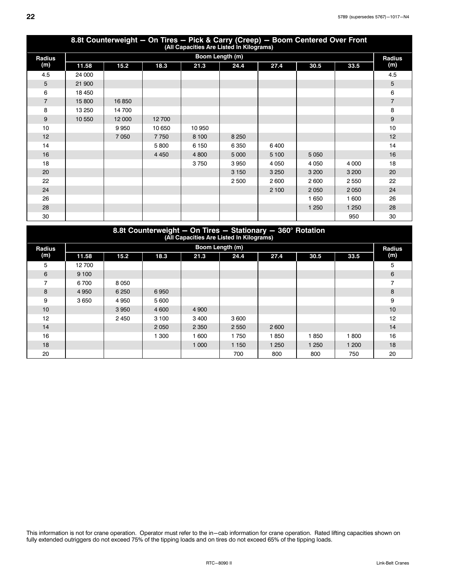<span id="page-25-0"></span>

| 8.8t Counterweight - On Tires - Pick & Carry (Creep) - Boom Centered Over Front<br>(All Capacities Are Listed In Kilograms) |        |         |         |         |                 |         |         |         |                |  |
|-----------------------------------------------------------------------------------------------------------------------------|--------|---------|---------|---------|-----------------|---------|---------|---------|----------------|--|
| <b>Radius</b>                                                                                                               |        |         |         |         | Boom Length (m) |         |         |         | <b>Radius</b>  |  |
| (m)                                                                                                                         | 11.58  | 15.2    | 18.3    | 21.3    | 24.4            | 27.4    | 30.5    | 33.5    | (m)            |  |
| 4.5                                                                                                                         | 24 000 |         |         |         |                 |         |         |         | 4.5            |  |
| 5                                                                                                                           | 21 900 |         |         |         |                 |         |         |         | 5              |  |
| 6                                                                                                                           | 18 450 |         |         |         |                 |         |         |         | 6              |  |
| $\overline{7}$                                                                                                              | 15 800 | 16850   |         |         |                 |         |         |         | $\overline{7}$ |  |
| 8                                                                                                                           | 13 250 | 14 700  |         |         |                 |         |         |         | 8              |  |
| 9                                                                                                                           | 10 550 | 12 000  | 12700   |         |                 |         |         |         | 9              |  |
| 10                                                                                                                          |        | 9950    | 10 650  | 10 950  |                 |         |         |         | 10             |  |
| 12                                                                                                                          |        | 7 0 5 0 | 7750    | 8 100   | 8 2 5 0         |         |         |         | 12             |  |
| 14                                                                                                                          |        |         | 5800    | 6 1 5 0 | 6 3 5 0         | 6400    |         |         | 14             |  |
| 16                                                                                                                          |        |         | 4 4 5 0 | 4 8 0 0 | 5 0 0 0         | 5 100   | 5 0 5 0 |         | 16             |  |
| 18                                                                                                                          |        |         |         | 3750    | 3 9 5 0         | 4 0 5 0 | 4 0 5 0 | 4 0 0 0 | 18             |  |
| 20                                                                                                                          |        |         |         |         | 3 1 5 0         | 3 2 5 0 | 3 2 0 0 | 3 200   | 20             |  |
| 22                                                                                                                          |        |         |         |         | 2 500           | 2600    | 2600    | 2 5 5 0 | 22             |  |
| 24                                                                                                                          |        |         |         |         |                 | 2 100   | 2 0 5 0 | 2050    | 24             |  |
| 26                                                                                                                          |        |         |         |         |                 |         | 1 650   | 1 600   | 26             |  |
| 28                                                                                                                          |        |         |         |         |                 |         | 1 250   | 1 250   | 28             |  |
| 30                                                                                                                          |        |         |         |         |                 |         |         | 950     | 30             |  |

| 8.8t Counterweight - On Tires - Stationary - 360° Rotation<br>(All Capacities Are Listed In Kilograms) |        |         |       |         |                 |       |       |       |               |  |  |
|--------------------------------------------------------------------------------------------------------|--------|---------|-------|---------|-----------------|-------|-------|-------|---------------|--|--|
| <b>Radius</b>                                                                                          |        |         |       |         | Boom Length (m) |       |       |       | <b>Radius</b> |  |  |
| (m)                                                                                                    | 11.58  | 15.2    | 18.3  | 21.3    | 24.4            | 27.4  | 30.5  | 33.5  | (m)           |  |  |
| 5                                                                                                      | 12 700 |         |       |         |                 |       |       |       | 5             |  |  |
| 6                                                                                                      | 9 100  |         |       |         |                 |       |       |       | 6             |  |  |
| $\overline{7}$                                                                                         | 6700   | 8 0 5 0 |       |         |                 |       |       |       |               |  |  |
| 8                                                                                                      | 4950   | 6 2 5 0 | 6950  |         |                 |       |       |       | 8             |  |  |
| 9                                                                                                      | 3650   | 4 9 5 0 | 5600  |         |                 |       |       |       | 9             |  |  |
| 10                                                                                                     |        | 3950    | 4 600 | 4 9 0 0 |                 |       |       |       | 10            |  |  |
| 12                                                                                                     |        | 2450    | 3 100 | 3 400   | 3600            |       |       |       | 12            |  |  |
| 14                                                                                                     |        |         | 2050  | 2 3 5 0 | 2 5 5 0         | 2600  |       |       | 14            |  |  |
| 16                                                                                                     |        |         | 300   | 1 600   | 1750            | 1850  | 1850  | 1800  | 16            |  |  |
| 18                                                                                                     |        |         |       | 1 000   | 1 1 5 0         | 1 250 | 1 250 | 1 200 | 18            |  |  |
| 20                                                                                                     |        |         |       |         | 700             | 800   | 800   | 750   | 20            |  |  |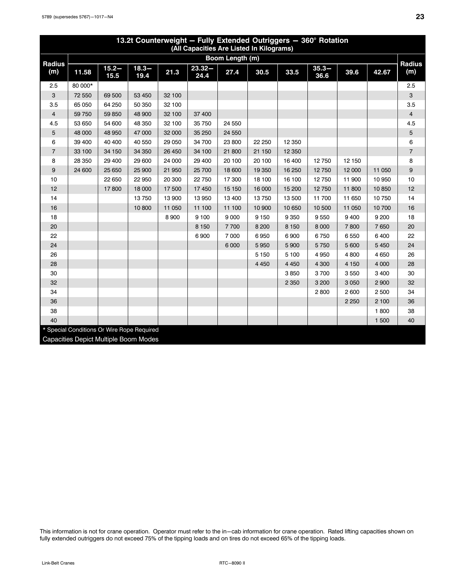<span id="page-26-0"></span>

| 13.2t Counterweight - Fully Extended Outriggers - 360° Rotation<br>(All Capacities Are Listed In Kilograms) |             |                                            |                  |        |                   |                 |         |         |                  |         |         |                      |
|-------------------------------------------------------------------------------------------------------------|-------------|--------------------------------------------|------------------|--------|-------------------|-----------------|---------|---------|------------------|---------|---------|----------------------|
|                                                                                                             |             |                                            |                  |        |                   | Boom Length (m) |         |         |                  |         |         |                      |
| <b>Radius</b><br>(m)                                                                                        | 11.58       | $15.2 -$<br>15.5                           | $18.3 -$<br>19.4 | 21.3   | $23.32 -$<br>24.4 | 27.4            | 30.5    | 33.5    | $35.3 -$<br>36.6 | 39.6    | 42.67   | <b>Radius</b><br>(m) |
| 2.5                                                                                                         | 80 000*     |                                            |                  |        |                   |                 |         |         |                  |         |         | 2.5                  |
| 3                                                                                                           | 72 550      | 69 500                                     | 53 450           | 32 100 |                   |                 |         |         |                  |         |         | 3                    |
| 3.5                                                                                                         | 65 050      | 64 250                                     | 50 350           | 32 100 |                   |                 |         |         |                  |         |         | 3.5                  |
| $\overline{4}$                                                                                              | 59 750      | 59 850                                     | 48 900           | 32 100 | 37 400            |                 |         |         |                  |         |         | 4                    |
| 4.5                                                                                                         | 53 650      | 54 600                                     | 48 350           | 32 100 | 35 750            | 24 550          |         |         |                  |         |         | 4.5                  |
| 5                                                                                                           | 48 000      | 48 950                                     | 47 000           | 32 000 | 35 250            | 24 550          |         |         |                  |         |         | 5                    |
| 6                                                                                                           | 39 400      | 40 400                                     | 40 550           | 29 050 | 34 700            | 23 800          | 22 250  | 12 3 50 |                  |         |         | 6                    |
| $\overline{7}$                                                                                              | 33 100      | 34 150                                     | 34 350           | 26 450 | 34 100            | 21 800          | 21 150  | 12 3 50 |                  |         |         | $\overline{7}$       |
| 8                                                                                                           | 28 350      | 29 400                                     | 29 600           | 24 000 | 29 400            | 20 100          | 20 100  | 16 400  | 12750            | 12 150  |         | 8                    |
| 9                                                                                                           | 24 600      | 25 650                                     | 25 900           | 21 950 | 25 700            | 18 600          | 19 350  | 16 250  | 12750            | 12 000  | 11 050  | 9                    |
| 10                                                                                                          |             | 22 650                                     | 22 950           | 20 300 | 22750             | 17 300          | 18 100  | 16 100  | 12750            | 11 900  | 10 950  | 10                   |
| 12                                                                                                          |             | 17800                                      | 18 000           | 17 500 | 17 450            | 15 150          | 16 000  | 15 200  | 12750            | 11 800  | 10850   | 12                   |
| 14                                                                                                          |             |                                            | 13750            | 13 900 | 13 950            | 13 400          | 13750   | 13 500  | 11700            | 11 650  | 10750   | 14                   |
| 16                                                                                                          |             |                                            | 10800            | 11 050 | 11 100            | 11 100          | 10 900  | 10 650  | 10 500           | 11 050  | 10700   | 16                   |
| 18                                                                                                          |             |                                            |                  | 8900   | 9 100             | 9 0 0 0         | 9 1 5 0 | 9 3 5 0 | 9550             | 9400    | 9 200   | 18                   |
| 20                                                                                                          |             |                                            |                  |        | 8 1 5 0           | 7700            | 8 2 0 0 | 8 1 5 0 | 8 0 0 0          | 7800    | 7650    | 20                   |
| 22                                                                                                          |             |                                            |                  |        | 6900              | 7000            | 6950    | 6900    | 6750             | 6550    | 6400    | 22                   |
| 24                                                                                                          |             |                                            |                  |        |                   | 6 0 0 0         | 5 9 5 0 | 5 9 0 0 | 5750             | 5 600   | 5 4 5 0 | 24                   |
| 26                                                                                                          |             |                                            |                  |        |                   |                 | 5 1 5 0 | 5 100   | 4 9 5 0          | 4800    | 4 6 5 0 | 26                   |
| 28                                                                                                          |             |                                            |                  |        |                   |                 | 4 4 5 0 | 4 4 5 0 | 4 300            | 4 1 5 0 | 4 0 0 0 | 28                   |
| 30                                                                                                          |             |                                            |                  |        |                   |                 |         | 3850    | 3700             | 3550    | 3 4 0 0 | 30                   |
| 32                                                                                                          |             |                                            |                  |        |                   |                 |         | 2 3 5 0 | 3 200            | 3 0 5 0 | 2 9 0 0 | 32                   |
| 34                                                                                                          |             |                                            |                  |        |                   |                 |         |         | 2800             | 2600    | 2 500   | 34                   |
| 36                                                                                                          |             |                                            |                  |        |                   |                 |         |         |                  | 2 2 5 0 | 2 100   | 36                   |
| 38                                                                                                          |             |                                            |                  |        |                   |                 |         |         |                  |         | 1800    | 38                   |
| 40                                                                                                          | 40<br>1 500 |                                            |                  |        |                   |                 |         |         |                  |         |         |                      |
|                                                                                                             |             | * Special Conditions Or Wire Rope Required |                  |        |                   |                 |         |         |                  |         |         |                      |
|                                                                                                             |             | Canacities Depict Multiple Boom Modes      |                  |        |                   |                 |         |         |                  |         |         |                      |

Capacities Depict Multiple Boom Modes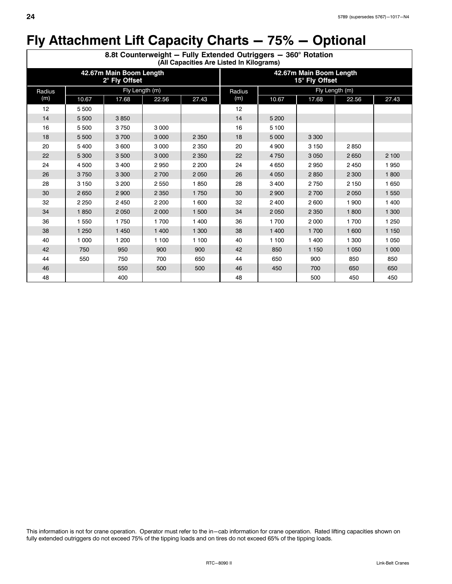# <span id="page-27-0"></span>**Fly Attachment Lift Capacity Charts - 75% - Optional**

|        | 8.8t Counterweight - Fully Extended Outriggers - 360° Rotation<br>(All Capacities Are Listed In Kilograms) |                                          |         |         |        |         |                                           |         |         |  |  |  |  |
|--------|------------------------------------------------------------------------------------------------------------|------------------------------------------|---------|---------|--------|---------|-------------------------------------------|---------|---------|--|--|--|--|
|        |                                                                                                            | 42.67m Main Boom Length<br>2° Fly Offset |         |         |        |         | 42.67m Main Boom Length<br>15° Fly Offset |         |         |  |  |  |  |
| Radius |                                                                                                            | Fly Length (m)                           |         |         | Radius |         | Fly Length (m)                            |         |         |  |  |  |  |
| (m)    | 10.67                                                                                                      | 17.68                                    | 22.56   | 27.43   | (m)    | 10.67   | 17.68                                     | 22.56   | 27.43   |  |  |  |  |
| 12     | 5500                                                                                                       |                                          |         |         | 12     |         |                                           |         |         |  |  |  |  |
| 14     | 5 5 0 0                                                                                                    | 3850                                     |         |         | 14     | 5 200   |                                           |         |         |  |  |  |  |
| 16     | 5500                                                                                                       | 3750                                     | 3 0 0 0 |         | 16     | 5 100   |                                           |         |         |  |  |  |  |
| 18     | 5 500                                                                                                      | 3700                                     | 3 0 0 0 | 2 3 5 0 | 18     | 5 0 0 0 | 3 3 0 0                                   |         |         |  |  |  |  |
| 20     | 5400                                                                                                       | 3 600                                    | 3 0 0 0 | 2 3 5 0 | 20     | 4 9 0 0 | 3 1 5 0                                   | 2850    |         |  |  |  |  |
| 22     | 5 3 0 0                                                                                                    | 3500                                     | 3 0 0 0 | 2 3 5 0 | 22     | 4750    | 3 0 5 0                                   | 2650    | 2 100   |  |  |  |  |
| 24     | 4500                                                                                                       | 3 4 0 0                                  | 2950    | 2 2 0 0 | 24     | 4650    | 2950                                      | 2 4 5 0 | 1950    |  |  |  |  |
| 26     | 3750                                                                                                       | 3 3 0 0                                  | 2700    | 2 0 5 0 | 26     | 4 0 5 0 | 2850                                      | 2 3 0 0 | 1800    |  |  |  |  |
| 28     | 3 1 5 0                                                                                                    | 3 200                                    | 2550    | 1850    | 28     | 3 4 0 0 | 2750                                      | 2 1 5 0 | 1 650   |  |  |  |  |
| 30     | 2650                                                                                                       | 2 9 0 0                                  | 2 3 5 0 | 1750    | 30     | 2900    | 2 700                                     | 2 0 5 0 | 1 550   |  |  |  |  |
| 32     | 2 2 5 0                                                                                                    | 2 4 5 0                                  | 2 2 0 0 | 1 600   | 32     | 2 4 0 0 | 2600                                      | 1 900   | 1 400   |  |  |  |  |
| 34     | 1850                                                                                                       | 2 0 5 0                                  | 2000    | 1 500   | 34     | 2050    | 2 3 5 0                                   | 1800    | 1 300   |  |  |  |  |
| 36     | 1550                                                                                                       | 1750                                     | 1700    | 1 400   | 36     | 1700    | 2 0 0 0                                   | 1700    | 1 2 5 0 |  |  |  |  |
| 38     | 1 250                                                                                                      | 1 4 5 0                                  | 1 400   | 1 300   | 38     | 1 400   | 1 700                                     | 1 600   | 1 1 5 0 |  |  |  |  |
| 40     | 1 000                                                                                                      | 1 200                                    | 1 100   | 1 100   | 40     | 1 100   | 1 400                                     | 1 300   | 1 0 5 0 |  |  |  |  |
| 42     | 750                                                                                                        | 950                                      | 900     | 900     | 42     | 850     | 1 1 5 0                                   | 1 0 5 0 | 1 000   |  |  |  |  |
| 44     | 550                                                                                                        | 750                                      | 700     | 650     | 44     | 650     | 900                                       | 850     | 850     |  |  |  |  |
| 46     |                                                                                                            | 550                                      | 500     | 500     | 46     | 450     | 700                                       | 650     | 650     |  |  |  |  |
| 48     |                                                                                                            | 400                                      |         |         | 48     |         | 500                                       | 450     | 450     |  |  |  |  |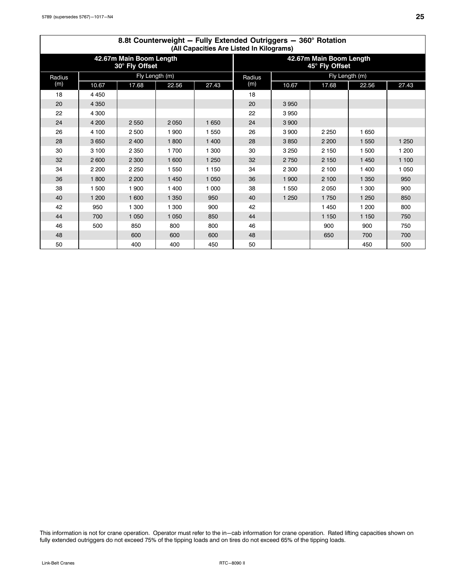<span id="page-28-0"></span>ľ

|        | 8.8t Counterweight — Fully Extended Outriggers — 360° Rotation<br>(All Capacities Are Listed In Kilograms) |                                           |                |         |                                           |         |                |         |         |  |  |  |  |  |
|--------|------------------------------------------------------------------------------------------------------------|-------------------------------------------|----------------|---------|-------------------------------------------|---------|----------------|---------|---------|--|--|--|--|--|
|        |                                                                                                            | 42.67m Main Boom Length<br>30° Fly Offset |                |         | 42.67m Main Boom Length<br>45° Fly Offset |         |                |         |         |  |  |  |  |  |
| Radius |                                                                                                            |                                           | Fly Length (m) |         | Radius                                    |         | Fly Length (m) |         |         |  |  |  |  |  |
| (m)    | 10.67                                                                                                      | 17.68                                     | 22.56          | 27.43   | (m)                                       | 10.67   | 17.68          | 22.56   | 27.43   |  |  |  |  |  |
| 18     | 4 4 5 0                                                                                                    |                                           |                |         | 18                                        |         |                |         |         |  |  |  |  |  |
| 20     | 4 3 5 0                                                                                                    |                                           |                |         | 20                                        | 3950    |                |         |         |  |  |  |  |  |
| 22     | 4 300                                                                                                      |                                           |                |         | 22                                        | 3950    |                |         |         |  |  |  |  |  |
| 24     | 4 200                                                                                                      | 2 5 5 0                                   | 2050           | 1 650   | 24                                        | 3 9 0 0 |                |         |         |  |  |  |  |  |
| 26     | 4 100                                                                                                      | 2 500                                     | 1900           | 1 550   | 26                                        | 3900    | 2 2 5 0        | 1 650   |         |  |  |  |  |  |
| 28     | 3650                                                                                                       | 2 4 0 0                                   | 1800           | 1 400   | 28                                        | 3850    | 2 2 0 0        | 1 5 5 0 | 1 2 5 0 |  |  |  |  |  |
| 30     | 3 100                                                                                                      | 2 3 5 0                                   | 1700           | 1 300   | 30                                        | 3 2 5 0 | 2 1 5 0        | 1 500   | 1 200   |  |  |  |  |  |
| 32     | 2600                                                                                                       | 2 3 0 0                                   | 1 600          | 1 250   | 32                                        | 2750    | 2 1 5 0        | 1 4 5 0 | 1 100   |  |  |  |  |  |
| 34     | 2 2 0 0                                                                                                    | 2 2 5 0                                   | 1 550          | 1 1 5 0 | 34                                        | 2 3 0 0 | 2 100          | 1 400   | 1 0 5 0 |  |  |  |  |  |
| 36     | 1800                                                                                                       | 2 2 0 0                                   | 1 4 5 0        | 1 0 5 0 | 36                                        | 1 900   | 2 100          | 1 3 5 0 | 950     |  |  |  |  |  |
| 38     | 1500                                                                                                       | 1 900                                     | 1 400          | 1 000   | 38                                        | 1550    | 2 0 5 0        | 1 300   | 900     |  |  |  |  |  |
| 40     | 1 200                                                                                                      | 1 600                                     | 1 350          | 950     | 40                                        | 1 2 5 0 | 1750           | 1 2 5 0 | 850     |  |  |  |  |  |
| 42     | 950                                                                                                        | 1 300                                     | 1 300          | 900     | 42                                        |         | 1 450          | 1 200   | 800     |  |  |  |  |  |
| 44     | 700                                                                                                        | 1 0 5 0                                   | 1 0 5 0        | 850     | 44                                        |         | 1 1 5 0        | 1 1 5 0 | 750     |  |  |  |  |  |
| 46     | 500                                                                                                        | 850                                       | 800            | 800     | 46                                        |         | 900            | 900     | 750     |  |  |  |  |  |
| 48     |                                                                                                            | 600                                       | 600            | 600     | 48                                        |         | 650            | 700     | 700     |  |  |  |  |  |
| 50     |                                                                                                            | 400                                       | 400            | 450     | 50                                        |         |                | 450     | 500     |  |  |  |  |  |

# 8.8t Counterweight **– Fully Extended Outriggers – 360° Rotatio**n

This information is not for crane operation. Operator must refer to the in-cab information for crane operation. Rated lifting capacities shown on fully extended outriggers do not exceed 75% of the tipping loads and on tires do not exceed 65% of the tipping loads.

Ē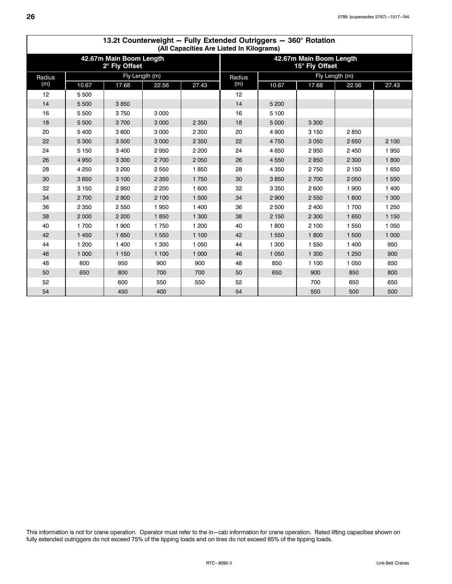|        | 13.2t Counterweight - Fully Extended Outriggers - 360° Rotation<br>(All Capacities Are Listed In Kilograms) |                                          |         |         |        |         |                                           |         |         |  |  |  |  |
|--------|-------------------------------------------------------------------------------------------------------------|------------------------------------------|---------|---------|--------|---------|-------------------------------------------|---------|---------|--|--|--|--|
|        |                                                                                                             | 42.67m Main Boom Length<br>2° Fly Offset |         |         |        |         | 42.67m Main Boom Length<br>15° Fly Offset |         |         |  |  |  |  |
| Radius |                                                                                                             | Fly Length (m)                           |         |         | Radius |         | Fly Length (m)                            |         |         |  |  |  |  |
| (m)    | 10.67                                                                                                       | 17.68                                    | 22.56   | 27.43   | (m)    | 10.67   | 17.68                                     | 22.56   | 27.43   |  |  |  |  |
| 12     | 5 500                                                                                                       |                                          |         |         | 12     |         |                                           |         |         |  |  |  |  |
| 14     | 5 500                                                                                                       | 3850                                     |         |         | 14     | 5 200   |                                           |         |         |  |  |  |  |
| 16     | 5 500                                                                                                       | 3750                                     | 3 0 0 0 |         | 16     | 5 100   |                                           |         |         |  |  |  |  |
| 18     | 5 500                                                                                                       | 3700                                     | 3 0 0 0 | 2 3 5 0 | 18     | 5 0 0 0 | 3 3 0 0                                   |         |         |  |  |  |  |
| 20     | 5 4 0 0                                                                                                     | 3 600                                    | 3 0 0 0 | 2 3 5 0 | 20     | 4 9 0 0 | 3 1 5 0                                   | 2850    |         |  |  |  |  |
| 22     | 5 300                                                                                                       | 3 500                                    | 3 0 0 0 | 2 3 5 0 | 22     | 4750    | 3 0 5 0                                   | 2650    | 2 100   |  |  |  |  |
| 24     | 5 1 5 0                                                                                                     | 3 4 0 0                                  | 2950    | 2 2 0 0 | 24     | 4650    | 2950                                      | 2 4 5 0 | 1950    |  |  |  |  |
| 26     | 4 9 5 0                                                                                                     | 3 3 0 0                                  | 2700    | 2 0 5 0 | 26     | 4550    | 2850                                      | 2 3 0 0 | 1800    |  |  |  |  |
| 28     | 4 2 5 0                                                                                                     | 3 200                                    | 2550    | 1850    | 28     | 4 3 5 0 | 2750                                      | 2 1 5 0 | 1 6 5 0 |  |  |  |  |
| 30     | 3650                                                                                                        | 3 100                                    | 2 3 5 0 | 1750    | 30     | 3850    | 2700                                      | 2 0 5 0 | 1 5 5 0 |  |  |  |  |
| 32     | 3 1 5 0                                                                                                     | 2950                                     | 2 2 0 0 | 1 600   | 32     | 3 3 5 0 | 2600                                      | 1 900   | 1 400   |  |  |  |  |
| 34     | 2700                                                                                                        | 2800                                     | 2 100   | 1 500   | 34     | 2 9 0 0 | 2 5 5 0                                   | 1800    | 1 300   |  |  |  |  |
| 36     | 2 3 5 0                                                                                                     | 2 5 5 0                                  | 1950    | 1 400   | 36     | 2500    | 2 4 0 0                                   | 1 700   | 1 2 5 0 |  |  |  |  |
| 38     | 2000                                                                                                        | 2 2 0 0                                  | 1850    | 1 300   | 38     | 2 1 5 0 | 2 3 0 0                                   | 1 6 5 0 | 1 1 5 0 |  |  |  |  |
| 40     | 1700                                                                                                        | 1 900                                    | 1750    | 1 200   | 40     | 1800    | 2 100                                     | 1 5 5 0 | 1 0 5 0 |  |  |  |  |
| 42     | 1 4 5 0                                                                                                     | 1 650                                    | 1 5 5 0 | 1 100   | 42     | 1 5 5 0 | 1800                                      | 1 500   | 1 0 0 0 |  |  |  |  |
| 44     | 1 200                                                                                                       | 1 400                                    | 1 300   | 1 0 5 0 | 44     | 1 300   | 1 550                                     | 1 400   | 950     |  |  |  |  |
| 46     | 1 000                                                                                                       | 1 1 5 0                                  | 1 100   | 1 000   | 46     | 1 0 5 0 | 1 300                                     | 1 2 5 0 | 900     |  |  |  |  |
| 48     | 800                                                                                                         | 950                                      | 900     | 900     | 48     | 850     | 1 100                                     | 1 0 5 0 | 850     |  |  |  |  |
| 50     | 650                                                                                                         | 800                                      | 700     | 700     | 50     | 650     | 900                                       | 850     | 800     |  |  |  |  |
| 52     |                                                                                                             | 600                                      | 550     | 550     | 52     |         | 700                                       | 650     | 650     |  |  |  |  |
| 54     |                                                                                                             | 450                                      | 400     |         | 54     |         | 550                                       | 500     | 500     |  |  |  |  |

# **13.2t Counterweight - Fully Extended Outriggers - 360° Rotation**

This information is not for crane operation. Operator must refer to the in-cab information for crane operation. Rated lifting capacities shown on fully extended outriggers do not exceed 75% of the tipping loads and on tires do not exceed 65% of the tipping loads.

<span id="page-29-0"></span> $\Gamma$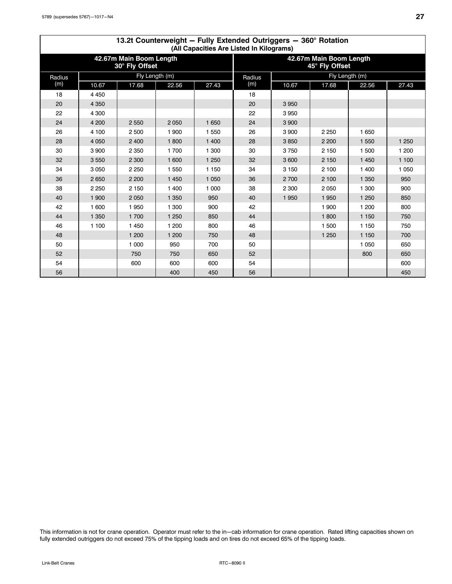<span id="page-30-0"></span>Г

|        | 13.2t Counterweight - Fully Extended Outriggers - 360° Rotation<br>(All Capacities Are Listed In Kilograms) |                                           |         |         |        |         |                                           |         |         |  |  |  |  |
|--------|-------------------------------------------------------------------------------------------------------------|-------------------------------------------|---------|---------|--------|---------|-------------------------------------------|---------|---------|--|--|--|--|
|        |                                                                                                             | 42.67m Main Boom Length<br>30° Fly Offset |         |         |        |         | 42.67m Main Boom Length<br>45° Fly Offset |         |         |  |  |  |  |
| Radius |                                                                                                             | Fly Length (m)                            |         |         | Radius |         | Fly Length (m)                            |         |         |  |  |  |  |
| (m)    | 10.67                                                                                                       | 17.68                                     | 22.56   | 27.43   | (m)    | 10.67   | 17.68                                     | 22.56   | 27.43   |  |  |  |  |
| 18     | 4 4 5 0                                                                                                     |                                           |         |         | 18     |         |                                           |         |         |  |  |  |  |
| 20     | 4 3 5 0                                                                                                     |                                           |         |         | 20     | 3950    |                                           |         |         |  |  |  |  |
| 22     | 4 3 0 0                                                                                                     |                                           |         |         | 22     | 3950    |                                           |         |         |  |  |  |  |
| 24     | 4 200                                                                                                       | 2 5 5 0                                   | 2050    | 1 650   | 24     | 3 9 0 0 |                                           |         |         |  |  |  |  |
| 26     | 4 100                                                                                                       | 2 500                                     | 1 900   | 1 550   | 26     | 3 9 0 0 | 2 2 5 0                                   | 1650    |         |  |  |  |  |
| 28     | 4 0 5 0                                                                                                     | 2 4 0 0                                   | 1800    | 1 400   | 28     | 3850    | 2 2 0 0                                   | 1 5 5 0 | 1 2 5 0 |  |  |  |  |
| 30     | 3 9 0 0                                                                                                     | 2 3 5 0                                   | 1700    | 1 300   | 30     | 3750    | 2 1 5 0                                   | 1 500   | 1 200   |  |  |  |  |
| 32     | 3550                                                                                                        | 2 3 0 0                                   | 1 600   | 1 2 5 0 | 32     | 3600    | 2 1 5 0                                   | 1 4 5 0 | 1 100   |  |  |  |  |
| 34     | 3050                                                                                                        | 2 2 5 0                                   | 1 5 5 0 | 1 1 5 0 | 34     | 3 1 5 0 | 2 100                                     | 1 400   | 1 0 5 0 |  |  |  |  |
| 36     | 2650                                                                                                        | 2 2 0 0                                   | 1 4 5 0 | 1 0 5 0 | 36     | 2700    | 2 100                                     | 1 3 5 0 | 950     |  |  |  |  |
| 38     | 2 2 5 0                                                                                                     | 2 1 5 0                                   | 1 400   | 1 000   | 38     | 2 3 0 0 | 2050                                      | 1 300   | 900     |  |  |  |  |
| 40     | 1 900                                                                                                       | 2 0 5 0                                   | 1 3 5 0 | 950     | 40     | 1950    | 1 9 5 0                                   | 1 2 5 0 | 850     |  |  |  |  |
| 42     | 1 600                                                                                                       | 1950                                      | 1 300   | 900     | 42     |         | 1 900                                     | 1 200   | 800     |  |  |  |  |
| 44     | 1 3 5 0                                                                                                     | 1 700                                     | 1 2 5 0 | 850     | 44     |         | 1800                                      | 1 1 5 0 | 750     |  |  |  |  |
| 46     | 1 100                                                                                                       | 1 4 5 0                                   | 1 200   | 800     | 46     |         | 1 500                                     | 1 1 5 0 | 750     |  |  |  |  |
| 48     |                                                                                                             | 1 200                                     | 1 200   | 750     | 48     |         | 1 2 5 0                                   | 1 1 5 0 | 700     |  |  |  |  |
| 50     |                                                                                                             | 1 0 0 0                                   | 950     | 700     | 50     |         |                                           | 1 0 5 0 | 650     |  |  |  |  |
| 52     |                                                                                                             | 750                                       | 750     | 650     | 52     |         |                                           | 800     | 650     |  |  |  |  |
| 54     |                                                                                                             | 600                                       | 600     | 600     | 54     |         |                                           |         | 600     |  |  |  |  |
| 56     |                                                                                                             |                                           | 400     | 450     | 56     |         |                                           |         | 450     |  |  |  |  |

This information is not for crane operation. Operator must refer to the in-cab information for crane operation. Rated lifting capacities shown on

fully extended outriggers do not exceed 75% of the tipping loads and on tires do not exceed 65% of the tipping loads.

Link‐Belt Cranes RTC – 8090 II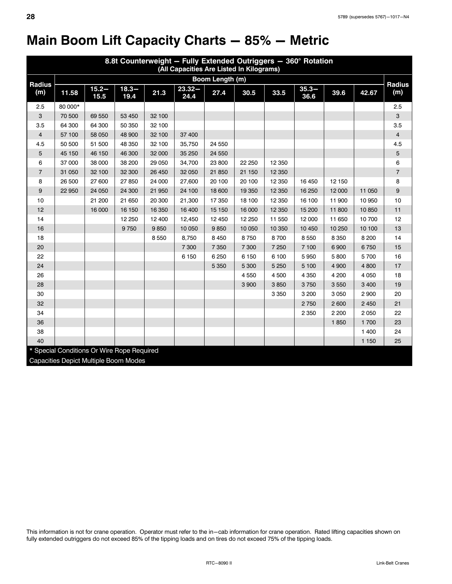<span id="page-31-0"></span>

|  | Main Boom Lift Capacity Charts - 85% - Metric |  |
|--|-----------------------------------------------|--|
|--|-----------------------------------------------|--|

|                      | 8.8t Counterweight - Fully Extended Outriggers - 360° Rotation<br>(All Capacities Are Listed In Kilograms) |                                              |                  |         |                   |                 |         |         |                  |         |         |                |  |
|----------------------|------------------------------------------------------------------------------------------------------------|----------------------------------------------|------------------|---------|-------------------|-----------------|---------|---------|------------------|---------|---------|----------------|--|
|                      |                                                                                                            |                                              |                  |         |                   | Boom Length (m) |         |         |                  |         |         |                |  |
| <b>Radius</b><br>(m) | 11.58                                                                                                      | $15.2 -$<br>15.5                             | $18.3 -$<br>19.4 | 21.3    | $23.32 -$<br>24.4 | 27.4            | 30.5    | 33.5    | $35.3 -$<br>36.6 | 39.6    | 42.67   | Radius<br>(m)  |  |
| 2.5                  | 80 000*                                                                                                    |                                              |                  |         |                   |                 |         |         |                  |         |         | 2.5            |  |
| 3                    | 70 500                                                                                                     | 69 550                                       | 53 450           | 32 100  |                   |                 |         |         |                  |         |         | 3              |  |
| 3.5                  | 64 300                                                                                                     | 64 300                                       | 50 350           | 32 100  |                   |                 |         |         |                  |         |         | 3.5            |  |
| $\overline{4}$       | 57 100                                                                                                     | 58 050                                       | 48 900           | 32 100  | 37 400            |                 |         |         |                  |         |         | $\overline{4}$ |  |
| 4.5                  | 50 500                                                                                                     | 51 500                                       | 48 350           | 32 100  | 35,750            | 24 550          |         |         |                  |         |         | 4.5            |  |
| 5                    | 45 150                                                                                                     | 46 150                                       | 46 300           | 32 000  | 35 250            | 24 550          |         |         |                  |         |         | 5              |  |
| 6                    | 37 000                                                                                                     | 38 000                                       | 38 200           | 29 050  | 34,700            | 23 800          | 22 250  | 12 3 50 |                  |         |         | 6              |  |
| $\overline{7}$       | 31 050                                                                                                     | 32 100                                       | 32 300           | 26 450  | 32 050            | 21 850          | 21 150  | 12 3 50 |                  |         |         | $\overline{7}$ |  |
| 8                    | 26 500                                                                                                     | 27 600                                       | 27850            | 24 000  | 27,600            | 20 100          | 20 100  | 12 3 50 | 16 450           | 12 150  |         | 8              |  |
| 9                    | 22 950                                                                                                     | 24 050                                       | 24 300           | 21 950  | 24 100            | 18 600          | 19 350  | 12 3 50 | 16 250           | 12 000  | 11 050  | 9              |  |
| 10                   |                                                                                                            | 21 200                                       | 21 650           | 20 300  | 21,300            | 17 350          | 18 100  | 12 350  | 16 100           | 11 900  | 10 950  | 10             |  |
| 12                   |                                                                                                            | 16 000                                       | 16 150           | 16 350  | 16 400            | 15 150          | 16 000  | 12 350  | 15 200           | 11 800  | 10850   | 11             |  |
| 14                   |                                                                                                            |                                              | 12 250           | 12 400  | 12,450            | 12 450          | 12 250  | 11 550  | 12 000           | 11 650  | 10700   | 12             |  |
| 16                   |                                                                                                            |                                              | 9750             | 9850    | 10 050            | 9850            | 10 050  | 10 350  | 10 450           | 10 250  | 10 100  | 13             |  |
| 18                   |                                                                                                            |                                              |                  | 8 5 5 0 | 8,750             | 8 4 5 0         | 8750    | 8700    | 8 5 5 0          | 8 3 5 0 | 8 2 0 0 | 14             |  |
| 20                   |                                                                                                            |                                              |                  |         | 7 300             | 7 3 5 0         | 7 300   | 7 2 5 0 | 7 100            | 6900    | 6750    | 15             |  |
| 22                   |                                                                                                            |                                              |                  |         | 6 1 5 0           | 6 2 5 0         | 6 1 5 0 | 6 100   | 5950             | 5800    | 5700    | 16             |  |
| 24                   |                                                                                                            |                                              |                  |         |                   | 5 3 5 0         | 5 300   | 5 2 5 0 | 5 100            | 4 9 0 0 | 4 800   | 17             |  |
| 26                   |                                                                                                            |                                              |                  |         |                   |                 | 4 5 5 0 | 4500    | 4 3 5 0          | 4 200   | 4 0 5 0 | 18             |  |
| 28                   |                                                                                                            |                                              |                  |         |                   |                 | 3 9 0 0 | 3850    | 3750             | 3550    | 3 4 0 0 | 19             |  |
| 30                   |                                                                                                            |                                              |                  |         |                   |                 |         | 3 3 5 0 | 3 200            | 3 0 5 0 | 2 9 0 0 | 20             |  |
| 32                   |                                                                                                            |                                              |                  |         |                   |                 |         |         | 2750             | 2600    | 2 4 5 0 | 21             |  |
| 34                   |                                                                                                            |                                              |                  |         |                   |                 |         |         | 2 3 5 0          | 2 2 0 0 | 2 0 5 0 | 22             |  |
| 36                   |                                                                                                            |                                              |                  |         |                   |                 |         |         |                  | 1850    | 1 700   | 23             |  |
| 38                   |                                                                                                            |                                              |                  |         |                   |                 |         |         |                  |         | 1 400   | 24             |  |
| 40                   |                                                                                                            |                                              |                  |         |                   |                 |         |         |                  |         | 1 1 5 0 | 25             |  |
|                      |                                                                                                            | * Special Conditions Or Wire Rope Required   |                  |         |                   |                 |         |         |                  |         |         |                |  |
|                      |                                                                                                            | <b>Capacities Depict Multiple Boom Modes</b> |                  |         |                   |                 |         |         |                  |         |         |                |  |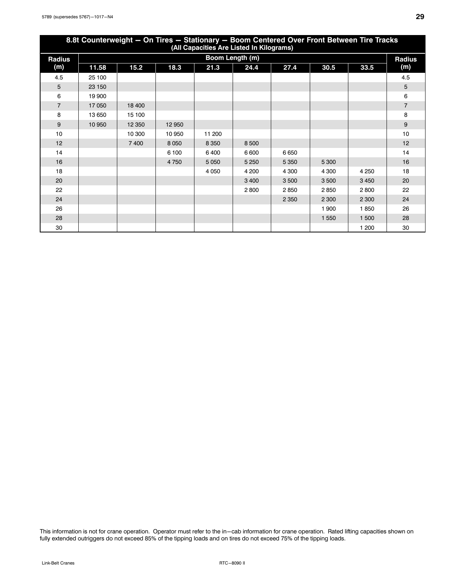<span id="page-32-0"></span>

| 8.8t Counterweight - On Tires - Stationary - Boom Centered Over Front Between Tire Tracks<br>(All Capacities Are Listed In Kilograms) |        |         |         |         |                 |         |         |         |                |  |  |  |  |
|---------------------------------------------------------------------------------------------------------------------------------------|--------|---------|---------|---------|-----------------|---------|---------|---------|----------------|--|--|--|--|
| <b>Radius</b>                                                                                                                         |        |         |         |         | Boom Length (m) |         |         |         | Radius         |  |  |  |  |
| (m)                                                                                                                                   | 11.58  | 15.2    | 18.3    | 21.3    | 24.4            | 27.4    | 30.5    | 33.5    | (m)            |  |  |  |  |
| 4.5                                                                                                                                   | 25 100 |         |         |         |                 |         |         |         | 4.5            |  |  |  |  |
| 5                                                                                                                                     | 23 150 |         |         |         |                 |         |         |         | 5              |  |  |  |  |
| 6                                                                                                                                     | 19 900 |         |         |         |                 |         |         |         | 6              |  |  |  |  |
| $\overline{7}$                                                                                                                        | 17 050 | 18 400  |         |         |                 |         |         |         | $\overline{7}$ |  |  |  |  |
| 8                                                                                                                                     | 13 650 | 15 100  |         |         |                 |         |         |         | 8              |  |  |  |  |
| 9                                                                                                                                     | 10 950 | 12 3 50 | 12 950  |         |                 |         |         |         | 9              |  |  |  |  |
| 10                                                                                                                                    |        | 10 300  | 10 950  | 11 200  |                 |         |         |         | 10             |  |  |  |  |
| 12                                                                                                                                    |        | 7 400   | 8 0 5 0 | 8 3 5 0 | 8 500           |         |         |         | 12             |  |  |  |  |
| 14                                                                                                                                    |        |         | 6 100   | 6400    | 6600            | 6650    |         |         | 14             |  |  |  |  |
| 16                                                                                                                                    |        |         | 4750    | 5 0 5 0 | 5 2 5 0         | 5 3 5 0 | 5 300   |         | 16             |  |  |  |  |
| 18                                                                                                                                    |        |         |         | 4 0 5 0 | 4 200           | 4 3 0 0 | 4 300   | 4 2 5 0 | 18             |  |  |  |  |
| 20                                                                                                                                    |        |         |         |         | 3 4 0 0         | 3500    | 3 500   | 3 4 5 0 | 20             |  |  |  |  |
| 22                                                                                                                                    |        |         |         |         | 2800            | 2850    | 2850    | 2800    | 22             |  |  |  |  |
| 24                                                                                                                                    |        |         |         |         |                 | 2 3 5 0 | 2 3 0 0 | 2 3 0 0 | 24             |  |  |  |  |
| 26                                                                                                                                    |        |         |         |         |                 |         | 1 900   | 1850    | 26             |  |  |  |  |
| 28                                                                                                                                    |        |         |         |         |                 |         | 1 5 5 0 | 1 500   | 28             |  |  |  |  |
| 30                                                                                                                                    |        |         |         |         |                 |         |         | 1 200   | 30             |  |  |  |  |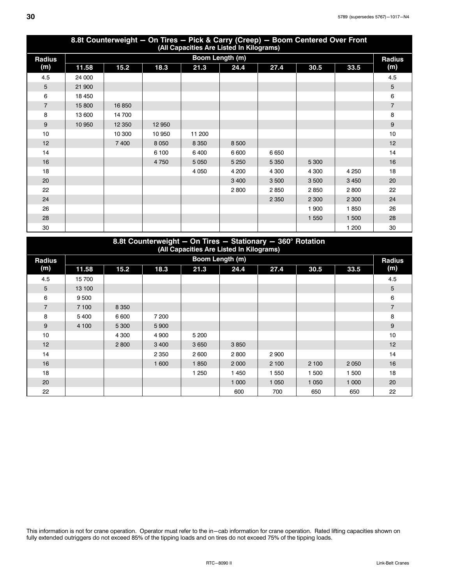<span id="page-33-0"></span>

| 8.8t Counterweight - On Tires - Pick & Carry (Creep) - Boom Centered Over Front<br>(All Capacities Are Listed In Kilograms) |        |         |         |         |                 |         |         |         |                |  |  |  |
|-----------------------------------------------------------------------------------------------------------------------------|--------|---------|---------|---------|-----------------|---------|---------|---------|----------------|--|--|--|
| <b>Radius</b>                                                                                                               |        |         |         |         | Boom Length (m) |         |         |         | Radius         |  |  |  |
| (m)                                                                                                                         | 11.58  | 15.2    | 18.3    | 21.3    | 24.4            | 27.4    | 30.5    | 33.5    | (m)            |  |  |  |
| 4.5                                                                                                                         | 24 000 |         |         |         |                 |         |         |         | 4.5            |  |  |  |
| 5                                                                                                                           | 21 900 |         |         |         |                 |         |         |         | 5              |  |  |  |
| 6                                                                                                                           | 18 450 |         |         |         |                 |         |         |         | 6              |  |  |  |
| $\overline{7}$                                                                                                              | 15 800 | 16850   |         |         |                 |         |         |         | $\overline{7}$ |  |  |  |
| 8                                                                                                                           | 13 600 | 14 700  |         |         |                 |         |         |         | 8              |  |  |  |
| 9                                                                                                                           | 10 950 | 12 3 50 | 12 950  |         |                 |         |         |         | 9              |  |  |  |
| 10                                                                                                                          |        | 10 300  | 10 950  | 11 200  |                 |         |         |         | 10             |  |  |  |
| 12                                                                                                                          |        | 7 400   | 8 0 5 0 | 8 3 5 0 | 8 5 0 0         |         |         |         | 12             |  |  |  |
| 14                                                                                                                          |        |         | 6 100   | 6400    | 6 600           | 6650    |         |         | 14             |  |  |  |
| 16                                                                                                                          |        |         | 4750    | 5 0 5 0 | 5 2 5 0         | 5 3 5 0 | 5 300   |         | 16             |  |  |  |
| 18                                                                                                                          |        |         |         | 4 0 5 0 | 4 200           | 4 3 0 0 | 4 3 0 0 | 4 2 5 0 | 18             |  |  |  |
| 20                                                                                                                          |        |         |         |         | 3 4 0 0         | 3500    | 3 500   | 3 4 5 0 | 20             |  |  |  |
| 22                                                                                                                          |        |         |         |         | 2800            | 2850    | 2850    | 2800    | 22             |  |  |  |
| 24                                                                                                                          |        |         |         |         |                 | 2 3 5 0 | 2 3 0 0 | 2 3 0 0 | 24             |  |  |  |
| 26                                                                                                                          |        |         |         |         |                 |         | 1 900   | 1850    | 26             |  |  |  |
| 28                                                                                                                          |        |         |         |         |                 |         | 1 550   | 1 500   | 28             |  |  |  |
| 30                                                                                                                          |        |         |         |         |                 |         |         | 1 200   | 30             |  |  |  |

| 8.8t Counterweight - On Tires - Stationary - 360° Rotation<br>(All Capacities Are Listed In Kilograms) |        |         |         |         |                 |         |         |         |                |  |  |  |  |
|--------------------------------------------------------------------------------------------------------|--------|---------|---------|---------|-----------------|---------|---------|---------|----------------|--|--|--|--|
| <b>Radius</b>                                                                                          |        |         |         |         | Boom Length (m) |         |         |         | <b>Radius</b>  |  |  |  |  |
| (m)                                                                                                    | 11.58  | 15.2    | 18.3    | 21.3    | 24.4            | 27.4    | 30.5    | 33.5    | (m)            |  |  |  |  |
| 4.5                                                                                                    | 15700  |         |         |         |                 |         |         |         | 4.5            |  |  |  |  |
| 5                                                                                                      | 13 100 |         |         |         |                 |         |         |         | 5              |  |  |  |  |
| 6                                                                                                      | 9500   |         |         |         |                 |         |         |         | 6              |  |  |  |  |
| $\overline{7}$                                                                                         | 7 100  | 8 3 5 0 |         |         |                 |         |         |         | $\overline{7}$ |  |  |  |  |
| 8                                                                                                      | 5400   | 6 600   | 7 200   |         |                 |         |         |         | 8              |  |  |  |  |
| 9                                                                                                      | 4 100  | 5 3 0 0 | 5 9 0 0 |         |                 |         |         |         | 9              |  |  |  |  |
| 10                                                                                                     |        | 4 300   | 4 9 0 0 | 5 200   |                 |         |         |         | 10             |  |  |  |  |
| 12 <sup>2</sup>                                                                                        |        | 2800    | 3 4 0 0 | 3650    | 3850            |         |         |         | 12             |  |  |  |  |
| 14                                                                                                     |        |         | 2 3 5 0 | 2600    | 2800            | 2900    |         |         | 14             |  |  |  |  |
| 16                                                                                                     |        |         | 1 600   | 1850    | 2 0 0 0         | 2 100   | 2 100   | 2 0 5 0 | 16             |  |  |  |  |
| 18                                                                                                     |        |         |         | 1 2 5 0 | 1 4 5 0         | 1550    | 1 500   | 1 500   | 18             |  |  |  |  |
| 20                                                                                                     |        |         |         |         | 1 0 0 0         | 1 0 5 0 | 1 0 5 0 | 1 0 0 0 | 20             |  |  |  |  |
| 22                                                                                                     |        |         |         |         | 600             | 700     | 650     | 650     | 22             |  |  |  |  |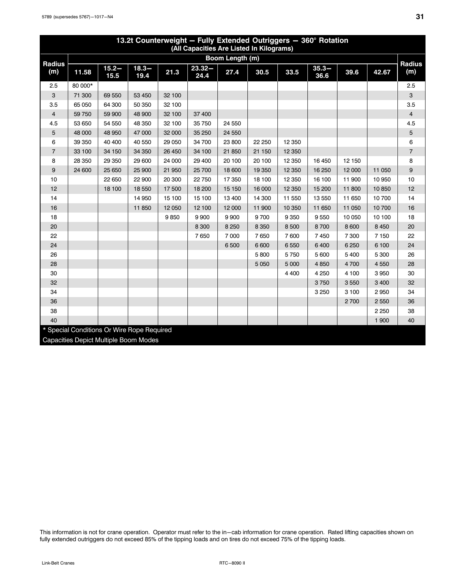<span id="page-34-0"></span>

| 13.2t Counterweight - Fully Extended Outriggers - 360° Rotation<br>(All Capacities Are Listed In Kilograms) |             |                                            |                  |        |                   |                 |         |         |                  |         |         |                      |
|-------------------------------------------------------------------------------------------------------------|-------------|--------------------------------------------|------------------|--------|-------------------|-----------------|---------|---------|------------------|---------|---------|----------------------|
|                                                                                                             |             |                                            |                  |        |                   | Boom Length (m) |         |         |                  |         |         |                      |
| <b>Radius</b><br>(m)                                                                                        | 11.58       | $15.2 -$<br>15.5                           | $18.3 -$<br>19.4 | 21.3   | $23.32 -$<br>24.4 | 27.4            | 30.5    | 33.5    | $35.3 -$<br>36.6 | 39.6    | 42.67   | <b>Radius</b><br>(m) |
| 2.5                                                                                                         | 80 000*     |                                            |                  |        |                   |                 |         |         |                  |         |         | 2.5                  |
| 3                                                                                                           | 71 300      | 69 550                                     | 53 450           | 32 100 |                   |                 |         |         |                  |         |         | 3                    |
| 3.5                                                                                                         | 65 050      | 64 300                                     | 50 350           | 32 100 |                   |                 |         |         |                  |         |         | 3.5                  |
| $\overline{4}$                                                                                              | 59 750      | 59 900                                     | 48 900           | 32 100 | 37 400            |                 |         |         |                  |         |         | $\overline{4}$       |
| 4.5                                                                                                         | 53 650      | 54 550                                     | 48 350           | 32 100 | 35 750            | 24 550          |         |         |                  |         |         | 4.5                  |
| 5                                                                                                           | 48 000      | 48 950                                     | 47 000           | 32 000 | 35 250            | 24 550          |         |         |                  |         |         | 5                    |
| 6                                                                                                           | 39 350      | 40 400                                     | 40 550           | 29 050 | 34 700            | 23 800          | 22 250  | 12 3 50 |                  |         |         | 6                    |
| $\overline{7}$                                                                                              | 33 100      | 34 150                                     | 34 350           | 26 450 | 34 100            | 21 850          | 21 150  | 12 3 50 |                  |         |         | $\overline{7}$       |
| 8                                                                                                           | 28 350      | 29 350                                     | 29 600           | 24 000 | 29 400            | 20 100          | 20 100  | 12 350  | 16 450           | 12 150  |         | 8                    |
| 9                                                                                                           | 24 600      | 25 650                                     | 25 900           | 21 950 | 25 700            | 18 600          | 19 350  | 12 3 50 | 16 250           | 12 000  | 11 050  | 9                    |
| 10                                                                                                          |             | 22 650                                     | 22 900           | 20 300 | 22750             | 17 350          | 18 100  | 12 350  | 16 100           | 11 900  | 10 950  | 10                   |
| 12                                                                                                          |             | 18 100                                     | 18 550           | 17 500 | 18 200            | 15 150          | 16 000  | 12 3 50 | 15 200           | 11 800  | 10850   | 12                   |
| 14                                                                                                          |             |                                            | 14 950           | 15 100 | 15 100            | 13 400          | 14 300  | 11 550  | 13 550           | 11 650  | 10700   | 14                   |
| 16                                                                                                          |             |                                            | 11850            | 12 050 | 12 100            | 12 000          | 11 900  | 10 350  | 11 650           | 11 050  | 10700   | 16                   |
| 18                                                                                                          |             |                                            |                  | 9850   | 9 9 0 0           | 9900            | 9700    | 9 3 5 0 | 9550             | 10 050  | 10 100  | 18                   |
| 20                                                                                                          |             |                                            |                  |        | 8 3 0 0           | 8 2 5 0         | 8 3 5 0 | 8500    | 8700             | 8 600   | 8 4 5 0 | 20                   |
| 22                                                                                                          |             |                                            |                  |        | 7650              | 7000            | 7650    | 7600    | 7450             | 7 300   | 7 1 5 0 | 22                   |
| 24                                                                                                          |             |                                            |                  |        |                   | 6500            | 6 600   | 6550    | 6 4 0 0          | 6 2 5 0 | 6 100   | 24                   |
| 26                                                                                                          |             |                                            |                  |        |                   |                 | 5 800   | 5750    | 5 600            | 5 4 0 0 | 5 300   | 26                   |
| 28                                                                                                          |             |                                            |                  |        |                   |                 | 5 0 5 0 | 5 0 0 0 | 4 8 5 0          | 4700    | 4 5 5 0 | 28                   |
| 30                                                                                                          |             |                                            |                  |        |                   |                 |         | 4 4 0 0 | 4 2 5 0          | 4 100   | 3950    | 30                   |
| 32                                                                                                          |             |                                            |                  |        |                   |                 |         |         | 3750             | 3550    | 3 4 0 0 | 32                   |
| 34                                                                                                          |             |                                            |                  |        |                   |                 |         |         | 3 2 5 0          | 3 100   | 2950    | 34                   |
| 36                                                                                                          |             |                                            |                  |        |                   |                 |         |         |                  | 2700    | 2 5 5 0 | 36                   |
| 38                                                                                                          |             |                                            |                  |        |                   |                 |         |         |                  |         | 2 2 5 0 | 38                   |
| 40                                                                                                          | 40<br>1 900 |                                            |                  |        |                   |                 |         |         |                  |         |         |                      |
|                                                                                                             |             | * Special Conditions Or Wire Rope Required |                  |        |                   |                 |         |         |                  |         |         |                      |
|                                                                                                             |             | ate of Departure Matthews L. December Matt |                  |        |                   |                 |         |         |                  |         |         |                      |

Capacities Depict Multiple Boom Modes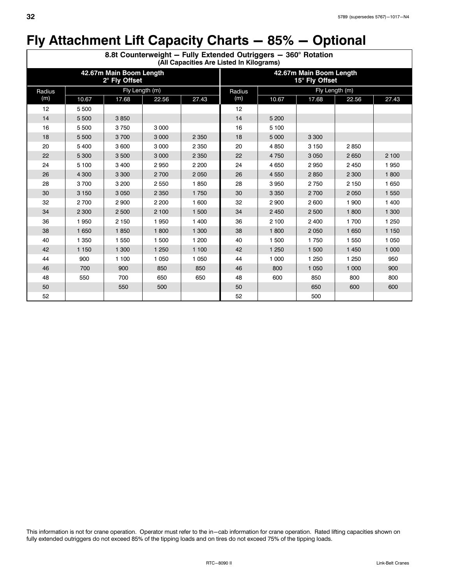# <span id="page-35-0"></span>**Fly Attachment Lift Capacity Charts - 85% - Optional**

|        | 8.8t Counterweight - Fully Extended Outriggers - 360° Rotation<br>(All Capacities Are Listed In Kilograms) |                                          |         |         |        |         |                                           |                |         |  |  |  |  |  |
|--------|------------------------------------------------------------------------------------------------------------|------------------------------------------|---------|---------|--------|---------|-------------------------------------------|----------------|---------|--|--|--|--|--|
|        |                                                                                                            | 42.67m Main Boom Length<br>2° Fly Offset |         |         |        |         | 42.67m Main Boom Length<br>15° Fly Offset |                |         |  |  |  |  |  |
| Radius |                                                                                                            | Fly Length $(m)$                         |         |         | Radius |         |                                           | Fly Length (m) |         |  |  |  |  |  |
| (m)    | 10.67                                                                                                      | 17.68                                    | 22.56   | 27.43   | (m)    | 10.67   | 17.68                                     | 22.56          | 27.43   |  |  |  |  |  |
| 12     | 5 500                                                                                                      |                                          |         |         | 12     |         |                                           |                |         |  |  |  |  |  |
| 14     | 5 500                                                                                                      | 3850                                     |         |         | 14     | 5 200   |                                           |                |         |  |  |  |  |  |
| 16     | 5 500                                                                                                      | 3750                                     | 3 0 0 0 |         | 16     | 5 100   |                                           |                |         |  |  |  |  |  |
| 18     | 5 500                                                                                                      | 3700                                     | 3 0 0 0 | 2 3 5 0 | 18     | 5 0 0 0 | 3 3 0 0                                   |                |         |  |  |  |  |  |
| 20     | 5400                                                                                                       | 3 600                                    | 3 0 0 0 | 2 3 5 0 | 20     | 4850    | 3 1 5 0                                   | 2850           |         |  |  |  |  |  |
| 22     | 5 300                                                                                                      | 3 500                                    | 3 0 0 0 | 2 3 5 0 | 22     | 4750    | 3 0 5 0                                   | 2 6 5 0        | 2 100   |  |  |  |  |  |
| 24     | 5 100                                                                                                      | 3 4 0 0                                  | 2950    | 2 2 0 0 | 24     | 4650    | 2950                                      | 2 4 5 0        | 1950    |  |  |  |  |  |
| 26     | 4 3 0 0                                                                                                    | 3 3 0 0                                  | 2 700   | 2050    | 26     | 4550    | 2850                                      | 2 3 0 0        | 1800    |  |  |  |  |  |
| 28     | 3700                                                                                                       | 3 200                                    | 2 5 5 0 | 1850    | 28     | 3950    | 2 7 5 0                                   | 2 1 5 0        | 1 650   |  |  |  |  |  |
| 30     | 3 1 5 0                                                                                                    | 3 0 5 0                                  | 2 3 5 0 | 1750    | 30     | 3 3 5 0 | 2 700                                     | 2 0 5 0        | 1 550   |  |  |  |  |  |
| 32     | 2700                                                                                                       | 2 9 0 0                                  | 2 2 0 0 | 1 600   | 32     | 2900    | 2600                                      | 1 900          | 1 400   |  |  |  |  |  |
| 34     | 2 3 0 0                                                                                                    | 2 500                                    | 2 100   | 1 500   | 34     | 2 4 5 0 | 2 500                                     | 1800           | 1 300   |  |  |  |  |  |
| 36     | 1950                                                                                                       | 2 1 5 0                                  | 1950    | 1 400   | 36     | 2 100   | 2 4 0 0                                   | 1700           | 1 2 5 0 |  |  |  |  |  |
| 38     | 1650                                                                                                       | 1850                                     | 1800    | 1 300   | 38     | 1800    | 2 0 5 0                                   | 1 650          | 1 1 5 0 |  |  |  |  |  |
| 40     | 1 3 5 0                                                                                                    | 1 5 5 0                                  | 1 500   | 1 200   | 40     | 1500    | 1750                                      | 1 5 5 0        | 1 0 5 0 |  |  |  |  |  |
| 42     | 1 1 5 0                                                                                                    | 1 300                                    | 1 250   | 1 100   | 42     | 1 2 5 0 | 1 500                                     | 1 4 5 0        | 1 000   |  |  |  |  |  |
| 44     | 900                                                                                                        | 1 100                                    | 1 0 5 0 | 1 0 5 0 | 44     | 1 0 0 0 | 1 250                                     | 1 2 5 0        | 950     |  |  |  |  |  |
| 46     | 700                                                                                                        | 900                                      | 850     | 850     | 46     | 800     | 1 0 5 0                                   | 1 000          | 900     |  |  |  |  |  |
| 48     | 550                                                                                                        | 700                                      | 650     | 650     | 48     | 600     | 850                                       | 800            | 800     |  |  |  |  |  |
| 50     |                                                                                                            | 550                                      | 500     |         | 50     |         | 650                                       | 600            | 600     |  |  |  |  |  |
| 52     |                                                                                                            |                                          |         |         | 52     |         | 500                                       |                |         |  |  |  |  |  |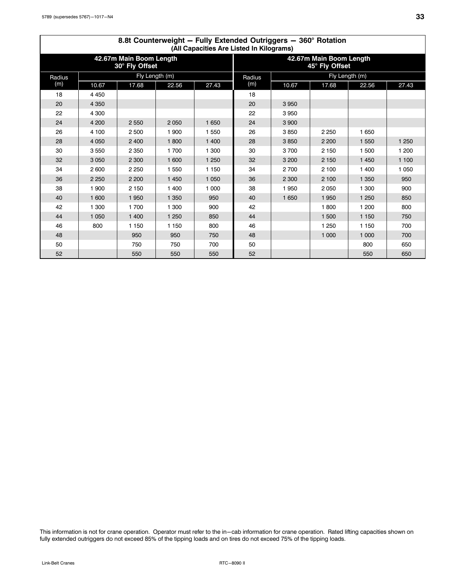<span id="page-36-0"></span>

| 8.8t Counterweight - Fully Extended Outriggers - 360° Rotation<br>(All Capacities Are Listed In Kilograms) |                |         |         |         |                                           |                |         |         |         |  |
|------------------------------------------------------------------------------------------------------------|----------------|---------|---------|---------|-------------------------------------------|----------------|---------|---------|---------|--|
| 42.67m Main Boom Length<br>30° Fly Offset                                                                  |                |         |         |         | 42.67m Main Boom Length<br>45° Fly Offset |                |         |         |         |  |
| Radius<br>(m)                                                                                              | Fly Length (m) |         |         |         | Radius                                    | Fly Length (m) |         |         |         |  |
|                                                                                                            | 10.67          | 17.68   | 22.56   | 27.43   | (m)                                       | 10.67          | 17.68   | 22.56   | 27.43   |  |
| 18                                                                                                         | 4 4 5 0        |         |         |         | 18                                        |                |         |         |         |  |
| 20                                                                                                         | 4 3 5 0        |         |         |         | 20                                        | 3950           |         |         |         |  |
| 22                                                                                                         | 4 300          |         |         |         | 22                                        | 3950           |         |         |         |  |
| 24                                                                                                         | 4 200          | 2 5 5 0 | 2050    | 1 6 5 0 | 24                                        | 3 9 0 0        |         |         |         |  |
| 26                                                                                                         | 4 100          | 2 500   | 1 900   | 1 550   | 26                                        | 3850           | 2 2 5 0 | 1 650   |         |  |
| 28                                                                                                         | 4 0 5 0        | 2 4 0 0 | 1800    | 1 400   | 28                                        | 3850           | 2 2 0 0 | 1 550   | 1 2 5 0 |  |
| 30                                                                                                         | 3550           | 2 3 5 0 | 1700    | 1 300   | 30                                        | 3700           | 2 1 5 0 | 1 500   | 1 200   |  |
| 32                                                                                                         | 3 0 5 0        | 2 3 0 0 | 1 600   | 1 2 5 0 | 32                                        | 3 200          | 2 1 5 0 | 1 4 5 0 | 1 100   |  |
| 34                                                                                                         | 2600           | 2 2 5 0 | 1 550   | 1 1 5 0 | 34                                        | 2700           | 2 100   | 1 400   | 1 0 5 0 |  |
| 36                                                                                                         | 2 2 5 0        | 2 2 0 0 | 1 4 5 0 | 1 0 5 0 | 36                                        | 2 3 0 0        | 2 100   | 1 350   | 950     |  |
| 38                                                                                                         | 1900           | 2 1 5 0 | 1 400   | 1 0 0 0 | 38                                        | 1950           | 2050    | 1 300   | 900     |  |
| 40                                                                                                         | 1 600          | 1950    | 1 3 5 0 | 950     | 40                                        | 1 6 5 0        | 1 9 5 0 | 1 2 5 0 | 850     |  |
| 42                                                                                                         | 1 300          | 1 700   | 1 300   | 900     | 42                                        |                | 1800    | 1 200   | 800     |  |
| 44                                                                                                         | 1 0 5 0        | 1 400   | 1 250   | 850     | 44                                        |                | 1 500   | 1 1 5 0 | 750     |  |
| 46                                                                                                         | 800            | 1 1 5 0 | 1 150   | 800     | 46                                        |                | 1 250   | 1 1 5 0 | 700     |  |
| 48                                                                                                         |                | 950     | 950     | 750     | 48                                        |                | 1 0 0 0 | 1 000   | 700     |  |
| 50                                                                                                         |                | 750     | 750     | 700     | 50                                        |                |         | 800     | 650     |  |
| 52                                                                                                         |                | 550     | 550     | 550     | 52                                        |                |         | 550     | 650     |  |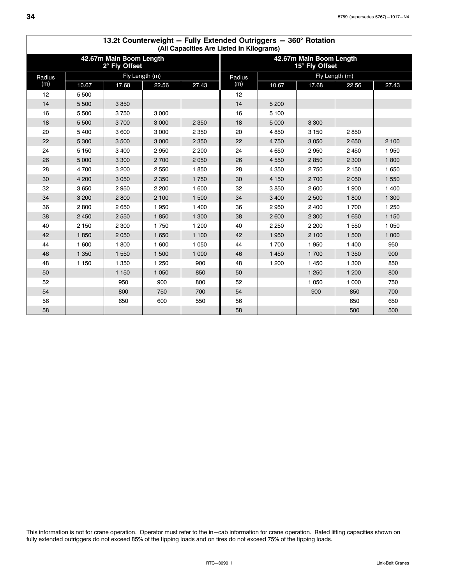| 13.2t Counterweight - Fully Extended Outriggers - 360° Rotation<br>(All Capacities Are Listed In Kilograms) |                |         |         |         |                                           |         |         |         |         |  |
|-------------------------------------------------------------------------------------------------------------|----------------|---------|---------|---------|-------------------------------------------|---------|---------|---------|---------|--|
| 42.67m Main Boom Length<br>2° Fly Offset                                                                    |                |         |         |         | 42.67m Main Boom Length<br>15° Fly Offset |         |         |         |         |  |
| Radius                                                                                                      | Fly Length (m) |         |         | Radius  | Fly Length (m)                            |         |         |         |         |  |
| (m)                                                                                                         | 10.67          | 17.68   | 22.56   | 27.43   | (m)                                       | 10.67   | 17.68   | 22.56   | 27.43   |  |
| 12                                                                                                          | 5 5 0 0        |         |         |         | 12                                        |         |         |         |         |  |
| 14                                                                                                          | 5 5 0 0        | 3850    |         |         | 14                                        | 5 200   |         |         |         |  |
| 16                                                                                                          | 5 500          | 3750    | 3 0 0 0 |         | 16                                        | 5 100   |         |         |         |  |
| 18                                                                                                          | 5 5 0 0        | 3700    | 3 0 0 0 | 2 3 5 0 | 18                                        | 5 0 0 0 | 3 3 0 0 |         |         |  |
| 20                                                                                                          | 5400           | 3600    | 3 0 0 0 | 2 3 5 0 | 20                                        | 4850    | 3 1 5 0 | 2850    |         |  |
| 22                                                                                                          | 5 300          | 3 500   | 3 0 0 0 | 2 3 5 0 | 22                                        | 4750    | 3 0 5 0 | 2650    | 2 100   |  |
| 24                                                                                                          | 5 1 5 0        | 3 400   | 2950    | 2 2 0 0 | 24                                        | 4650    | 2950    | 2 4 5 0 | 1950    |  |
| 26                                                                                                          | 5 0 0 0        | 3 3 0 0 | 2700    | 2 0 5 0 | 26                                        | 4550    | 2850    | 2 3 0 0 | 1800    |  |
| 28                                                                                                          | 4700           | 3 200   | 2550    | 1850    | 28                                        | 4 3 5 0 | 2750    | 2 1 5 0 | 1 650   |  |
| 30                                                                                                          | 4 200          | 3 0 5 0 | 2 3 5 0 | 1750    | 30                                        | 4 1 5 0 | 2 700   | 2 0 5 0 | 1 550   |  |
| 32                                                                                                          | 3650           | 2950    | 2 2 0 0 | 1 600   | 32                                        | 3850    | 2600    | 1 900   | 1 400   |  |
| 34                                                                                                          | 3 2 0 0        | 2800    | 2 100   | 1 500   | 34                                        | 3 4 0 0 | 2 500   | 1800    | 1 300   |  |
| 36                                                                                                          | 2800           | 2650    | 1 950   | 1 400   | 36                                        | 2950    | 2 4 0 0 | 1700    | 1 2 5 0 |  |
| 38                                                                                                          | 2 4 5 0        | 2 5 5 0 | 1850    | 1 300   | 38                                        | 2600    | 2 3 0 0 | 1 650   | 1 1 5 0 |  |
| 40                                                                                                          | 2 1 5 0        | 2 3 0 0 | 1750    | 1 200   | 40                                        | 2 2 5 0 | 2 2 0 0 | 1 5 5 0 | 1 0 5 0 |  |
| 42                                                                                                          | 1850           | 2 0 5 0 | 1 650   | 1 100   | 42                                        | 1950    | 2 100   | 1 500   | 1 0 0 0 |  |
| 44                                                                                                          | 1 600          | 1800    | 1 600   | 1 0 5 0 | 44                                        | 1700    | 1950    | 1 400   | 950     |  |
| 46                                                                                                          | 1 3 5 0        | 1 550   | 1 500   | 1 000   | 46                                        | 1 4 5 0 | 1700    | 1 3 5 0 | 900     |  |
| 48                                                                                                          | 1 1 5 0        | 1 3 5 0 | 1 2 5 0 | 900     | 48                                        | 1 200   | 1 4 5 0 | 1 300   | 850     |  |
| 50                                                                                                          |                | 1 1 5 0 | 1 0 5 0 | 850     | 50                                        |         | 1 2 5 0 | 1 200   | 800     |  |
| 52                                                                                                          |                | 950     | 900     | 800     | 52                                        |         | 1 0 5 0 | 1 0 0 0 | 750     |  |
| 54                                                                                                          |                | 800     | 750     | 700     | 54                                        |         | 900     | 850     | 700     |  |
| 56                                                                                                          |                | 650     | 600     | 550     | 56                                        |         |         | 650     | 650     |  |
| 58                                                                                                          |                |         |         |         | 58                                        |         |         | 500     | 500     |  |

# **13.2t Counterweight - Fully Extended Outriggers - 360° Rotation**

This information is not for crane operation. Operator must refer to the in-cab information for crane operation. Rated lifting capacities shown on fully extended outriggers do not exceed 85% of the tipping loads and on tires do not exceed 75% of the tipping loads.

<span id="page-37-0"></span> $\Gamma$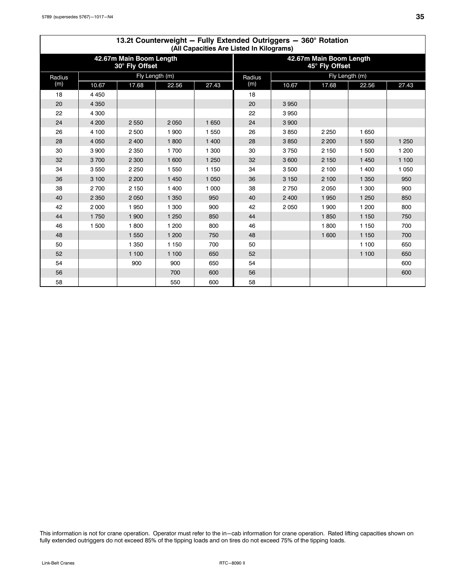<span id="page-38-0"></span>Г

| 13.2t Counterweight - Fully Extended Outriggers - 360° Rotation<br>(All Capacities Are Listed In Kilograms) |                |         |         |         |                                           |                |         |         |         |  |
|-------------------------------------------------------------------------------------------------------------|----------------|---------|---------|---------|-------------------------------------------|----------------|---------|---------|---------|--|
| 42.67m Main Boom Length<br>30° Fly Offset                                                                   |                |         |         |         | 42.67m Main Boom Length<br>45° Fly Offset |                |         |         |         |  |
| Radius                                                                                                      | Fly Length (m) |         |         |         | Radius                                    | Fly Length (m) |         |         |         |  |
| (m)                                                                                                         | 10.67          | 17.68   | 22.56   | 27.43   | (m)                                       | 10.67          | 17.68   | 22.56   | 27.43   |  |
| 18                                                                                                          | 4 4 5 0        |         |         |         | 18                                        |                |         |         |         |  |
| 20                                                                                                          | 4 3 5 0        |         |         |         | 20                                        | 3950           |         |         |         |  |
| 22                                                                                                          | 4 3 0 0        |         |         |         | 22                                        | 3950           |         |         |         |  |
| 24                                                                                                          | 4 200          | 2 5 5 0 | 2 0 5 0 | 1 650   | 24                                        | 3 9 0 0        |         |         |         |  |
| 26                                                                                                          | 4 100          | 2 500   | 1 900   | 1 5 5 0 | 26                                        | 3850           | 2 2 5 0 | 1 650   |         |  |
| 28                                                                                                          | 4 0 5 0        | 2 4 0 0 | 1800    | 1 400   | 28                                        | 3850           | 2 2 0 0 | 1 5 5 0 | 1 2 5 0 |  |
| 30                                                                                                          | 3 9 0 0        | 2 3 5 0 | 1700    | 1 300   | 30                                        | 3750           | 2 1 5 0 | 1 500   | 1 200   |  |
| 32                                                                                                          | 3700           | 2 3 0 0 | 1 600   | 1 2 5 0 | 32                                        | 3600           | 2 1 5 0 | 1 4 5 0 | 1 100   |  |
| 34                                                                                                          | 3550           | 2 2 5 0 | 1 5 5 0 | 1 1 5 0 | 34                                        | 3500           | 2 100   | 1 400   | 1 0 5 0 |  |
| 36                                                                                                          | 3 100          | 2 2 0 0 | 1 4 5 0 | 1 0 5 0 | 36                                        | 3 1 5 0        | 2 100   | 1 3 5 0 | 950     |  |
| 38                                                                                                          | 2700           | 2 1 5 0 | 1 400   | 1 0 0 0 | 38                                        | 2750           | 2 0 5 0 | 1 300   | 900     |  |
| 40                                                                                                          | 2 3 5 0        | 2 0 5 0 | 1 3 5 0 | 950     | 40                                        | 2 4 0 0        | 1 9 5 0 | 1 2 5 0 | 850     |  |
| 42                                                                                                          | 2000           | 1950    | 1 300   | 900     | 42                                        | 2050           | 1 900   | 1 200   | 800     |  |
| 44                                                                                                          | 1750           | 1 900   | 1 2 5 0 | 850     | 44                                        |                | 1850    | 1 1 5 0 | 750     |  |
| 46                                                                                                          | 1500           | 1800    | 1 200   | 800     | 46                                        |                | 1800    | 1 1 5 0 | 700     |  |
| 48                                                                                                          |                | 1 550   | 1 200   | 750     | 48                                        |                | 1 600   | 1 1 5 0 | 700     |  |
| 50                                                                                                          |                | 1 3 5 0 | 1 1 5 0 | 700     | 50                                        |                |         | 1 100   | 650     |  |
| 52                                                                                                          |                | 1 100   | 1 100   | 650     | 52                                        |                |         | 1 100   | 650     |  |
| 54                                                                                                          |                | 900     | 900     | 650     | 54                                        |                |         |         | 600     |  |
| 56                                                                                                          |                |         | 700     | 600     | 56                                        |                |         |         | 600     |  |
| 58                                                                                                          |                |         | 550     | 600     | 58                                        |                |         |         |         |  |